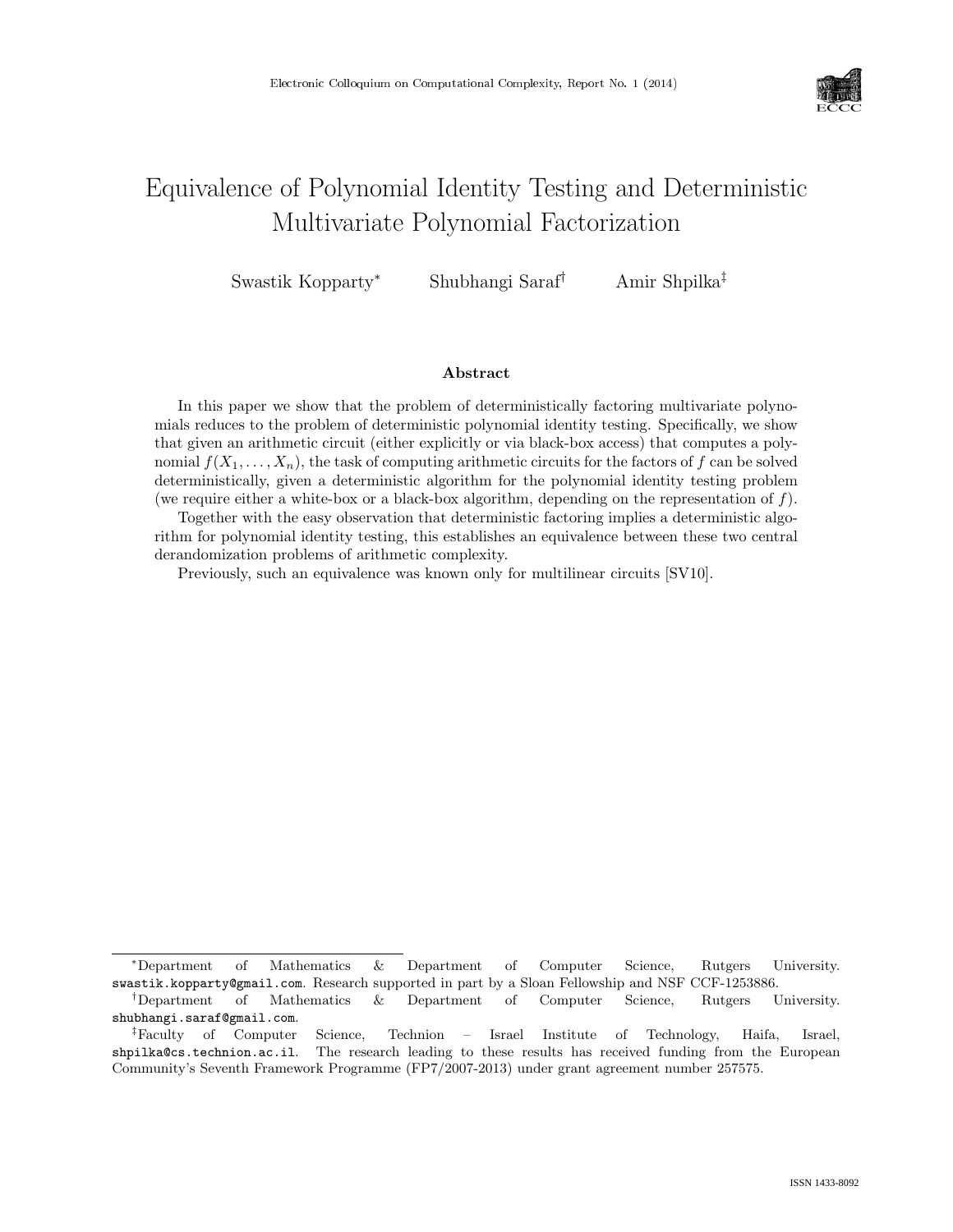

# Equivalence of Polynomial Identity Testing and Deterministic Multivariate Polynomial Factorization

Swastik Kopparty<sup>∗</sup> Shubhangi Saraf† Amir Shpilka‡

#### Abstract

In this paper we show that the problem of deterministically factoring multivariate polynomials reduces to the problem of deterministic polynomial identity testing. Specifically, we show that given an arithmetic circuit (either explicitly or via black-box access) that computes a polynomial  $f(X_1, \ldots, X_n)$ , the task of computing arithmetic circuits for the factors of f can be solved deterministically, given a deterministic algorithm for the polynomial identity testing problem (we require either a white-box or a black-box algorithm, depending on the representation of  $f$ ).

Together with the easy observation that deterministic factoring implies a deterministic algorithm for polynomial identity testing, this establishes an equivalence between these two central derandomization problems of arithmetic complexity.

Previously, such an equivalence was known only for multilinear circuits [SV10].

<sup>∗</sup>Department of Mathematics & Department of Computer Science, Rutgers University. swastik.kopparty@gmail.com. Research supported in part by a Sloan Fellowship and NSF CCF-1253886.

<sup>†</sup>Department of Mathematics & Department of Computer Science, Rutgers University. shubhangi.saraf@gmail.com.

<sup>‡</sup>Faculty of Computer Science, Technion – Israel Institute of Technology, Haifa, Israel, shpilka@cs.technion.ac.il. The research leading to these results has received funding from the European Community's Seventh Framework Programme (FP7/2007-2013) under grant agreement number 257575.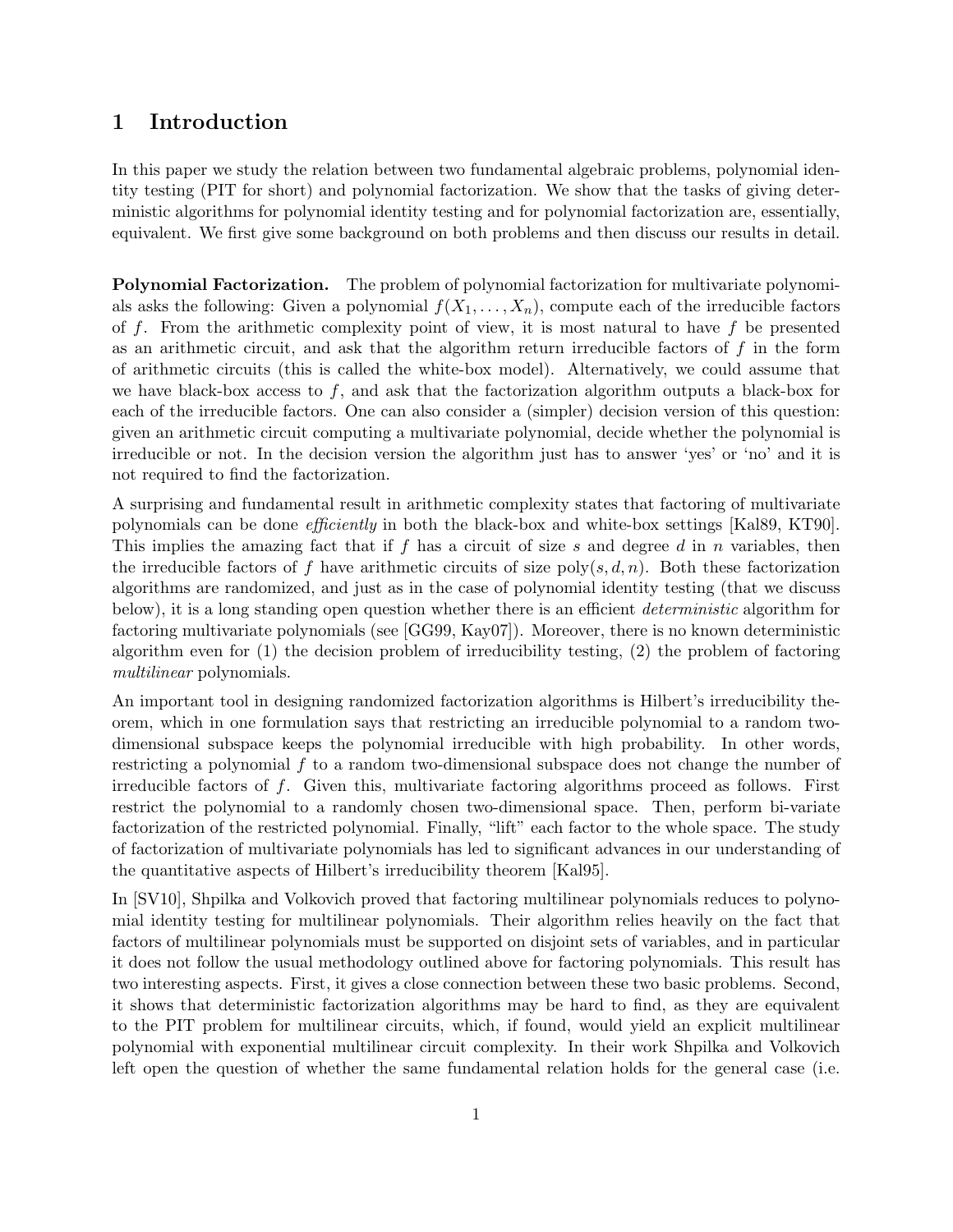# 1 Introduction

In this paper we study the relation between two fundamental algebraic problems, polynomial identity testing (PIT for short) and polynomial factorization. We show that the tasks of giving deterministic algorithms for polynomial identity testing and for polynomial factorization are, essentially, equivalent. We first give some background on both problems and then discuss our results in detail.

Polynomial Factorization. The problem of polynomial factorization for multivariate polynomials asks the following: Given a polynomial  $f(X_1, \ldots, X_n)$ , compute each of the irreducible factors of  $f$ . From the arithmetic complexity point of view, it is most natural to have  $f$  be presented as an arithmetic circuit, and ask that the algorithm return irreducible factors of  $f$  in the form of arithmetic circuits (this is called the white-box model). Alternatively, we could assume that we have black-box access to  $f$ , and ask that the factorization algorithm outputs a black-box for each of the irreducible factors. One can also consider a (simpler) decision version of this question: given an arithmetic circuit computing a multivariate polynomial, decide whether the polynomial is irreducible or not. In the decision version the algorithm just has to answer 'yes' or 'no' and it is not required to find the factorization.

A surprising and fundamental result in arithmetic complexity states that factoring of multivariate polynomials can be done efficiently in both the black-box and white-box settings [Kal89, KT90]. This implies the amazing fact that if f has a circuit of size s and degree d in n variables, then the irreducible factors of f have arithmetic circuits of size  $poly(s, d, n)$ . Both these factorization algorithms are randomized, and just as in the case of polynomial identity testing (that we discuss below), it is a long standing open question whether there is an efficient *deterministic* algorithm for factoring multivariate polynomials (see [GG99, Kay07]). Moreover, there is no known deterministic algorithm even for (1) the decision problem of irreducibility testing, (2) the problem of factoring multilinear polynomials.

An important tool in designing randomized factorization algorithms is Hilbert's irreducibility theorem, which in one formulation says that restricting an irreducible polynomial to a random twodimensional subspace keeps the polynomial irreducible with high probability. In other words, restricting a polynomial f to a random two-dimensional subspace does not change the number of irreducible factors of f. Given this, multivariate factoring algorithms proceed as follows. First restrict the polynomial to a randomly chosen two-dimensional space. Then, perform bi-variate factorization of the restricted polynomial. Finally, "lift" each factor to the whole space. The study of factorization of multivariate polynomials has led to significant advances in our understanding of the quantitative aspects of Hilbert's irreducibility theorem [Kal95].

In [SV10], Shpilka and Volkovich proved that factoring multilinear polynomials reduces to polynomial identity testing for multilinear polynomials. Their algorithm relies heavily on the fact that factors of multilinear polynomials must be supported on disjoint sets of variables, and in particular it does not follow the usual methodology outlined above for factoring polynomials. This result has two interesting aspects. First, it gives a close connection between these two basic problems. Second, it shows that deterministic factorization algorithms may be hard to find, as they are equivalent to the PIT problem for multilinear circuits, which, if found, would yield an explicit multilinear polynomial with exponential multilinear circuit complexity. In their work Shpilka and Volkovich left open the question of whether the same fundamental relation holds for the general case (i.e.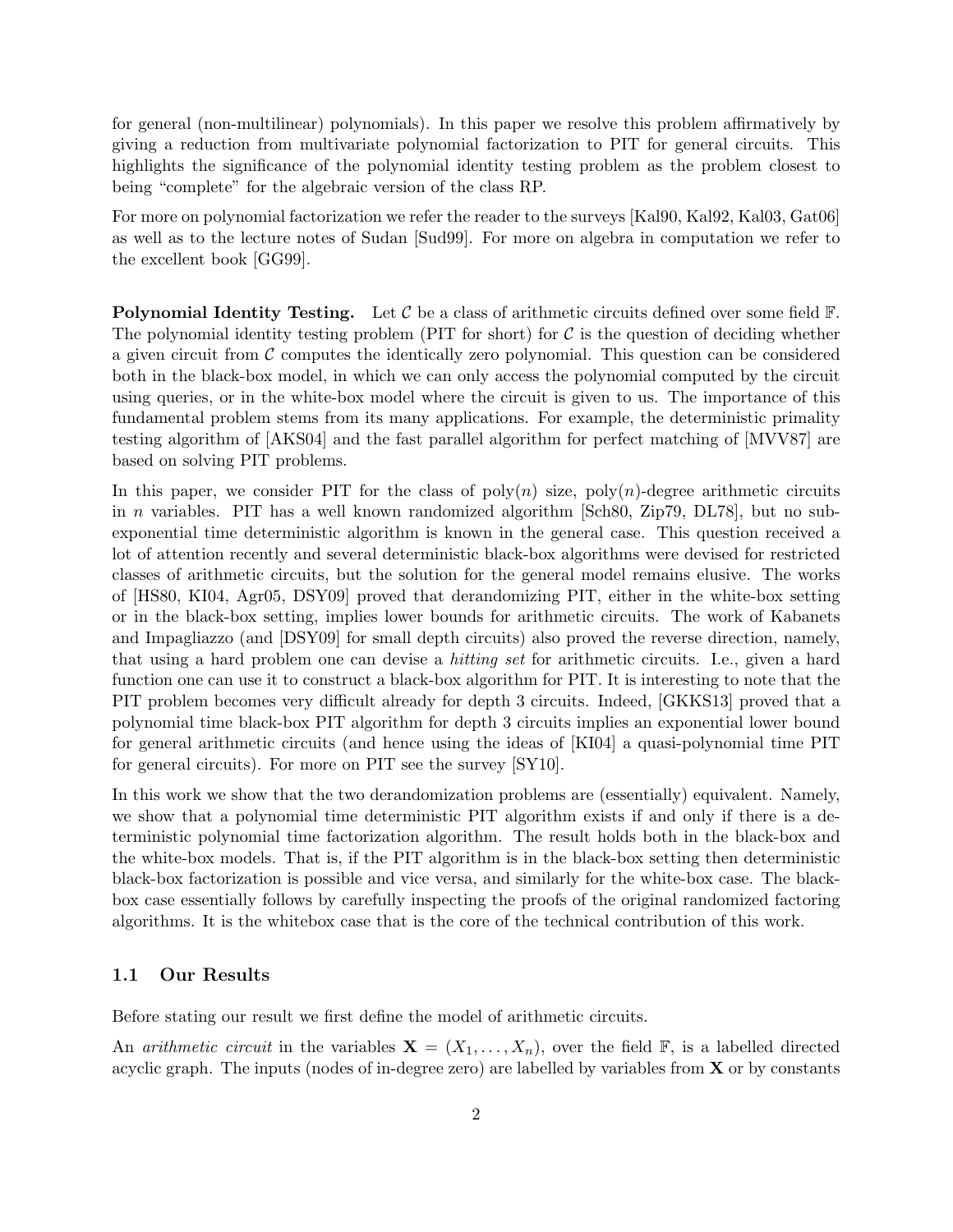for general (non-multilinear) polynomials). In this paper we resolve this problem affirmatively by giving a reduction from multivariate polynomial factorization to PIT for general circuits. This highlights the significance of the polynomial identity testing problem as the problem closest to being "complete" for the algebraic version of the class RP.

For more on polynomial factorization we refer the reader to the surveys [Kal90, Kal92, Kal03, Gat06] as well as to the lecture notes of Sudan [Sud99]. For more on algebra in computation we refer to the excellent book [GG99].

**Polynomial Identity Testing.** Let  $\mathcal C$  be a class of arithmetic circuits defined over some field  $\mathbb F$ . The polynomial identity testing problem (PIT for short) for  $C$  is the question of deciding whether a given circuit from  $\mathcal C$  computes the identically zero polynomial. This question can be considered both in the black-box model, in which we can only access the polynomial computed by the circuit using queries, or in the white-box model where the circuit is given to us. The importance of this fundamental problem stems from its many applications. For example, the deterministic primality testing algorithm of [AKS04] and the fast parallel algorithm for perfect matching of [MVV87] are based on solving PIT problems.

In this paper, we consider PIT for the class of  $poly(n)$  size,  $poly(n)$ -degree arithmetic circuits in n variables. PIT has a well known randomized algorithm [Sch80, Zip79, DL78], but no subexponential time deterministic algorithm is known in the general case. This question received a lot of attention recently and several deterministic black-box algorithms were devised for restricted classes of arithmetic circuits, but the solution for the general model remains elusive. The works of [HS80, KI04, Agr05, DSY09] proved that derandomizing PIT, either in the white-box setting or in the black-box setting, implies lower bounds for arithmetic circuits. The work of Kabanets and Impagliazzo (and [DSY09] for small depth circuits) also proved the reverse direction, namely, that using a hard problem one can devise a hitting set for arithmetic circuits. I.e., given a hard function one can use it to construct a black-box algorithm for PIT. It is interesting to note that the PIT problem becomes very difficult already for depth 3 circuits. Indeed, [GKKS13] proved that a polynomial time black-box PIT algorithm for depth 3 circuits implies an exponential lower bound for general arithmetic circuits (and hence using the ideas of [KI04] a quasi-polynomial time PIT for general circuits). For more on PIT see the survey [SY10].

In this work we show that the two derandomization problems are (essentially) equivalent. Namely, we show that a polynomial time deterministic PIT algorithm exists if and only if there is a deterministic polynomial time factorization algorithm. The result holds both in the black-box and the white-box models. That is, if the PIT algorithm is in the black-box setting then deterministic black-box factorization is possible and vice versa, and similarly for the white-box case. The blackbox case essentially follows by carefully inspecting the proofs of the original randomized factoring algorithms. It is the whitebox case that is the core of the technical contribution of this work.

### 1.1 Our Results

Before stating our result we first define the model of arithmetic circuits.

An *arithmetic circuit* in the variables  $\mathbf{X} = (X_1, \ldots, X_n)$ , over the field  $\mathbb{F}$ , is a labelled directed acyclic graph. The inputs (nodes of in-degree zero) are labelled by variables from  $X$  or by constants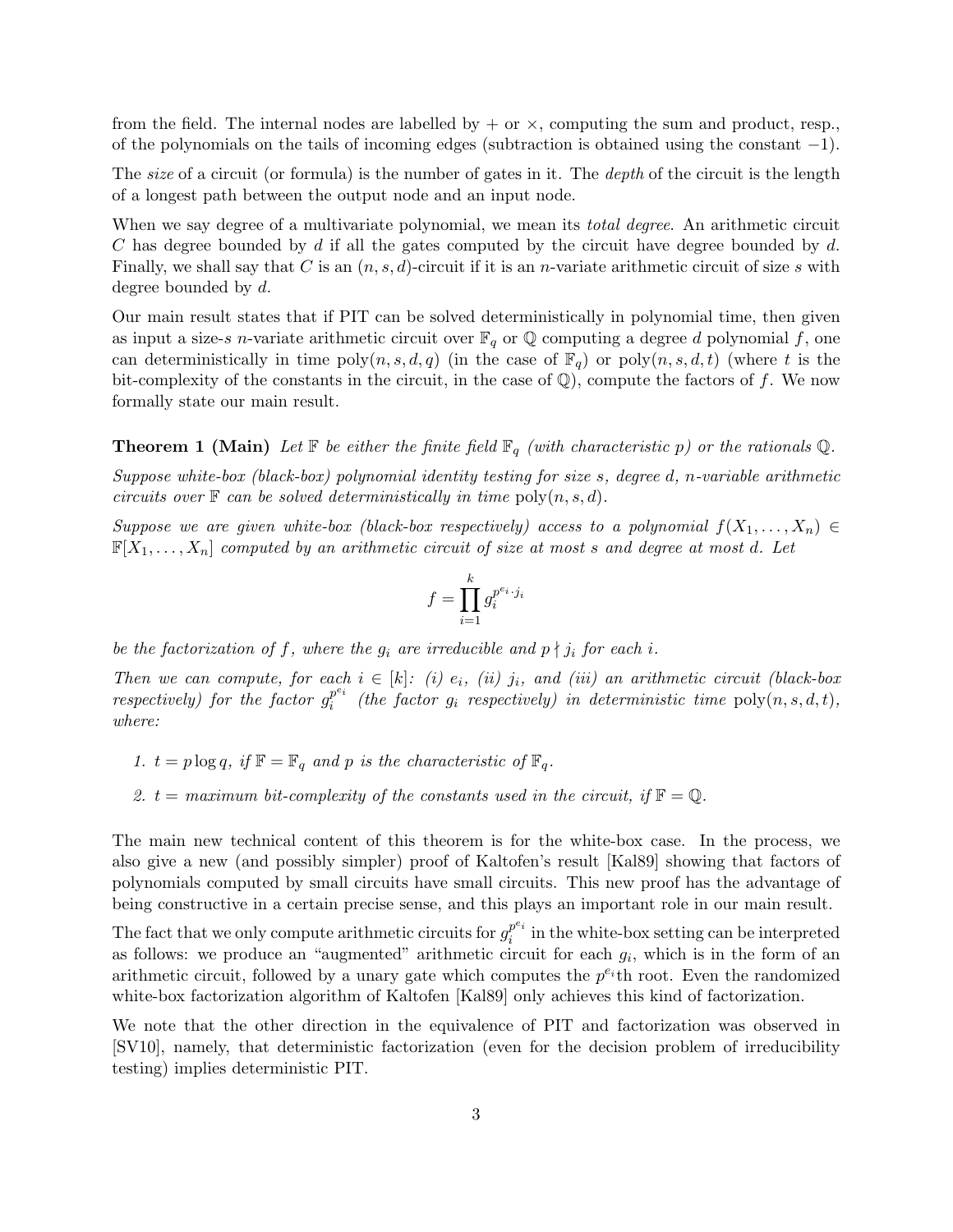from the field. The internal nodes are labelled by  $+$  or  $\times$ , computing the sum and product, resp. of the polynomials on the tails of incoming edges (subtraction is obtained using the constant −1).

The *size* of a circuit (or formula) is the number of gates in it. The *depth* of the circuit is the length of a longest path between the output node and an input node.

When we say degree of a multivariate polynomial, we mean its *total degree*. An arithmetic circuit C has degree bounded by  $d$  if all the gates computed by the circuit have degree bounded by  $d$ . Finally, we shall say that C is an  $(n, s, d)$ -circuit if it is an *n*-variate arithmetic circuit of size s with degree bounded by d.

Our main result states that if PIT can be solved deterministically in polynomial time, then given as input a size-s n-variate arithmetic circuit over  $\mathbb{F}_q$  or  $\mathbb Q$  computing a degree d polynomial f, one can deterministically in time  $\text{poly}(n, s, d, q)$  (in the case of  $\mathbb{F}_q$ ) or  $\text{poly}(n, s, d, t)$  (where t is the bit-complexity of the constants in the circuit, in the case of  $\mathbb{Q}$ ), compute the factors of f. We now formally state our main result.

**Theorem 1 (Main)** Let  $\mathbb{F}$  be either the finite field  $\mathbb{F}_q$  (with characteristic p) or the rationals Q.

Suppose white-box (black-box) polynomial identity testing for size s, degree d, n-variable arithmetic circuits over  $\mathbb F$  can be solved deterministically in time  $\text{poly}(n, s, d)$ .

Suppose we are given white-box (black-box respectively) access to a polynomial  $f(X_1, \ldots, X_n) \in$  $\mathbb{F}[X_1,\ldots,X_n]$  computed by an arithmetic circuit of size at most s and degree at most d. Let

$$
f = \prod_{i=1}^{k} g_i^{p^{e_i} \cdot j_i}
$$

be the factorization of f, where the  $g_i$  are irreducible and  $p \nmid j_i$  for each i.

Then we can compute, for each  $i \in [k]$ : (i)  $e_i$ , (ii)  $j_i$ , and (iii) an arithmetic circuit (black-box respectively) for the factor  $g_i^{p^{e_i}}$  $e_i^{p\cdot i}$  (the factor  $g_i$  respectively) in deterministic time  $\text{poly}(n, s, d, t)$ , where:

- 1.  $t = p \log q$ , if  $\mathbb{F} = \mathbb{F}_q$  and p is the characteristic of  $\mathbb{F}_q$ .
- 2.  $t = maximum bit-complexity of the constants used in the circuit, if  $\mathbb{F} = \mathbb{Q}$ .$

The main new technical content of this theorem is for the white-box case. In the process, we also give a new (and possibly simpler) proof of Kaltofen's result [Kal89] showing that factors of polynomials computed by small circuits have small circuits. This new proof has the advantage of being constructive in a certain precise sense, and this plays an important role in our main result.

The fact that we only compute arithmetic circuits for  $g_i^{pe_i}$  $i^{p_i}$  in the white-box setting can be interpreted as follows: we produce an "augmented" arithmetic circuit for each  $g_i$ , which is in the form of an arithmetic circuit, followed by a unary gate which computes the  $p^{e_i}$ th root. Even the randomized white-box factorization algorithm of Kaltofen [Kal89] only achieves this kind of factorization.

We note that the other direction in the equivalence of PIT and factorization was observed in [SV10], namely, that deterministic factorization (even for the decision problem of irreducibility testing) implies deterministic PIT.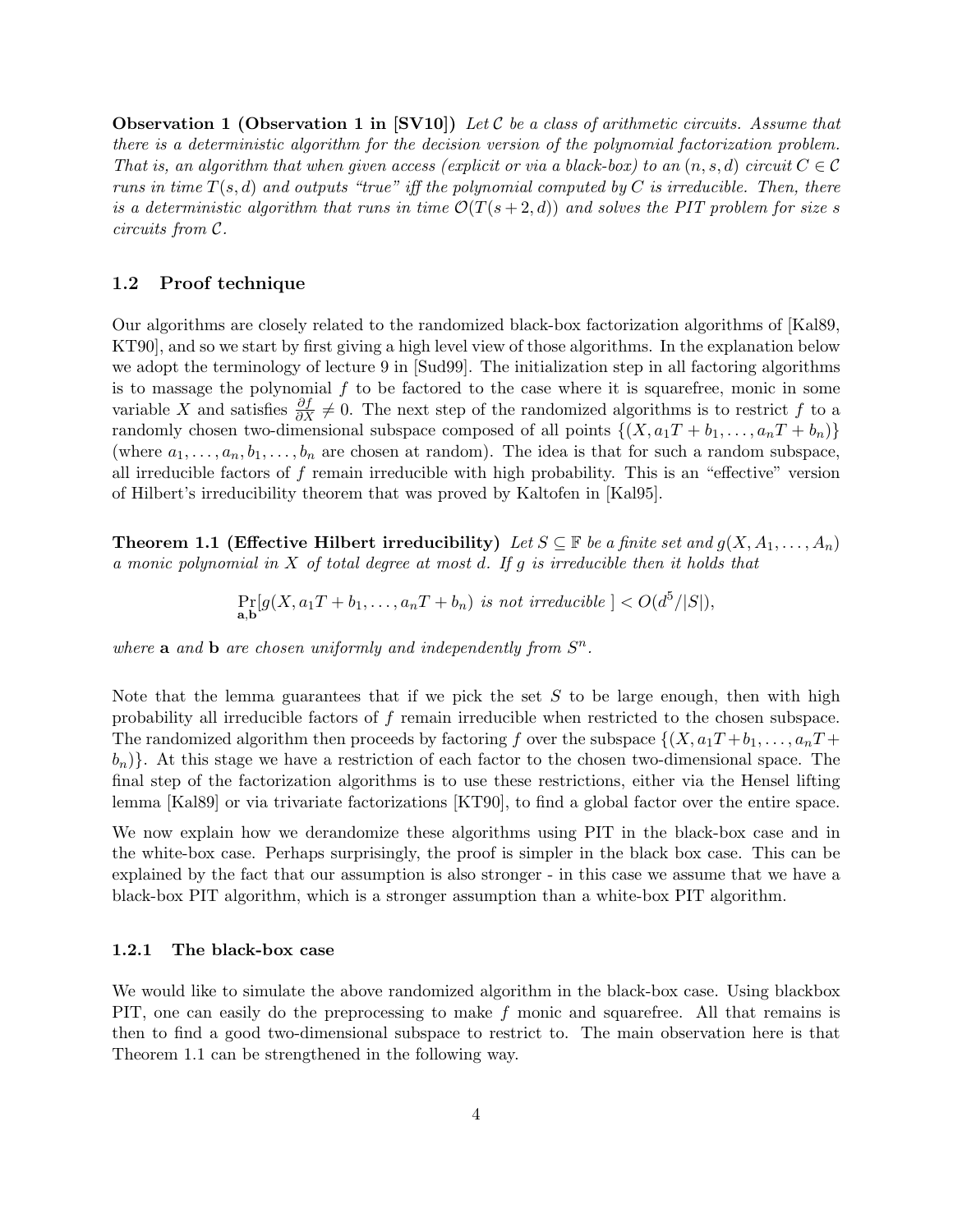**Observation 1 (Observation 1 in [SV10])** Let C be a class of arithmetic circuits. Assume that there is a deterministic algorithm for the decision version of the polynomial factorization problem. That is, an algorithm that when given access (explicit or via a black-box) to an  $(n, s, d)$  circuit  $C \in \mathcal{C}$ runs in time  $T(s, d)$  and outputs "true" iff the polynomial computed by C is irreducible. Then, there is a deterministic algorithm that runs in time  $\mathcal{O}(T(s+2,d))$  and solves the PIT problem for size s circuits from C.

### 1.2 Proof technique

Our algorithms are closely related to the randomized black-box factorization algorithms of [Kal89, KT90], and so we start by first giving a high level view of those algorithms. In the explanation below we adopt the terminology of lecture 9 in [Sud99]. The initialization step in all factoring algorithms is to massage the polynomial  $f$  to be factored to the case where it is squarefree, monic in some variable X and satisfies  $\frac{\partial f}{\partial X}\neq 0$ . The next step of the randomized algorithms is to restrict f to a randomly chosen two-dimensional subspace composed of all points  $\{(X, a_1T + b_1, \ldots, a_nT + b_n)\}\$ (where  $a_1, \ldots, a_n, b_1, \ldots, b_n$  are chosen at random). The idea is that for such a random subspace, all irreducible factors of f remain irreducible with high probability. This is an "effective" version of Hilbert's irreducibility theorem that was proved by Kaltofen in [Kal95].

**Theorem 1.1 (Effective Hilbert irreducibility)** Let  $S \subseteq \mathbb{F}$  be a finite set and  $g(X, A_1, \ldots, A_n)$ a monic polynomial in X of total degree at most d. If g is irreducible then it holds that

$$
\Pr_{\mathbf{a},\mathbf{b}}[g(X,a_1T+b_1,\ldots,a_nT+b_n) \text{ is not irreducible }] < O(d^5/|S|),
$$

where **a** and **b** are chosen uniformly and independently from  $S^n$ .

Note that the lemma guarantees that if we pick the set  $S$  to be large enough, then with high probability all irreducible factors of f remain irreducible when restricted to the chosen subspace. The randomized algorithm then proceeds by factoring f over the subspace  $\{(X, a_1T + b_1, \ldots, a_nT + b_n)\}$  $(b_n)$ . At this stage we have a restriction of each factor to the chosen two-dimensional space. The final step of the factorization algorithms is to use these restrictions, either via the Hensel lifting lemma [Kal89] or via trivariate factorizations [KT90], to find a global factor over the entire space.

We now explain how we derandomize these algorithms using PIT in the black-box case and in the white-box case. Perhaps surprisingly, the proof is simpler in the black box case. This can be explained by the fact that our assumption is also stronger - in this case we assume that we have a black-box PIT algorithm, which is a stronger assumption than a white-box PIT algorithm.

#### 1.2.1 The black-box case

We would like to simulate the above randomized algorithm in the black-box case. Using blackbox PIT, one can easily do the preprocessing to make f monic and squarefree. All that remains is then to find a good two-dimensional subspace to restrict to. The main observation here is that Theorem 1.1 can be strengthened in the following way.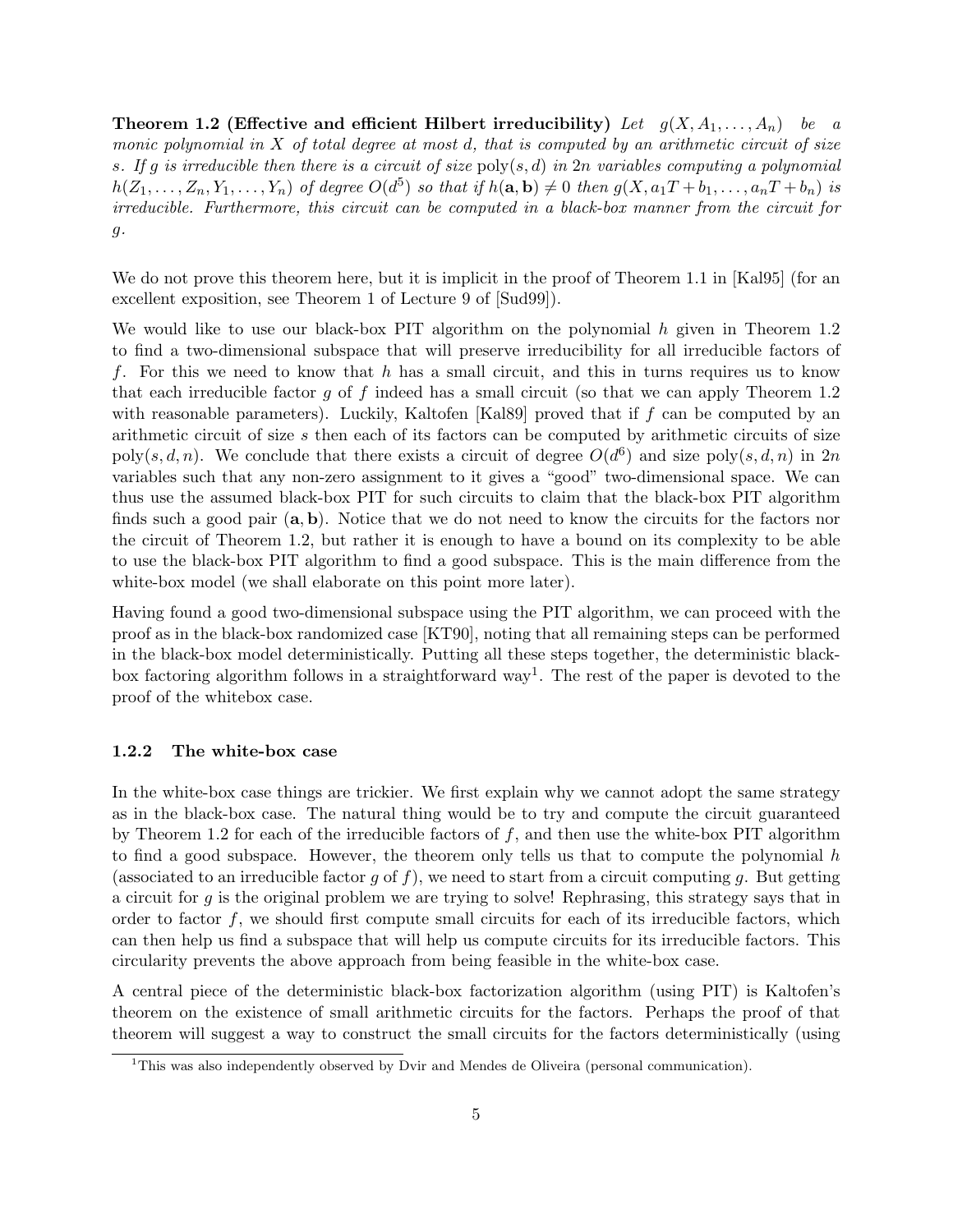**Theorem 1.2 (Effective and efficient Hilbert irreducibility)** Let  $g(X, A_1, \ldots, A_n)$  be a monic polynomial in  $X$  of total degree at most d, that is computed by an arithmetic circuit of size s. If g is irreducible then there is a circuit of size  $\text{poly}(s,d)$  in  $2n$  variables computing a polynomial  $h(Z_1,\ldots,Z_n,Y_1,\ldots,Y_n)$  of degree  $O(d^5)$  so that if  $h(\mathbf{a},\mathbf{b})\neq 0$  then  $g(X,a_1T+b_1,\ldots,a_nT+b_n)$  is irreducible. Furthermore, this circuit can be computed in a black-box manner from the circuit for  $g$ .

We do not prove this theorem here, but it is implicit in the proof of Theorem 1.1 in [Kal95] (for an excellent exposition, see Theorem 1 of Lecture 9 of [Sud99]).

We would like to use our black-box PIT algorithm on the polynomial h given in Theorem 1.2 to find a two-dimensional subspace that will preserve irreducibility for all irreducible factors of f. For this we need to know that h has a small circuit, and this in turns requires us to know that each irreducible factor  $g$  of  $f$  indeed has a small circuit (so that we can apply Theorem 1.2 with reasonable parameters). Luckily, Kaltofen [Kal89] proved that if f can be computed by an arithmetic circuit of size s then each of its factors can be computed by arithmetic circuits of size poly(s, d, n). We conclude that there exists a circuit of degree  $O(d^6)$  and size poly(s, d, n) in 2n variables such that any non-zero assignment to it gives a "good" two-dimensional space. We can thus use the assumed black-box PIT for such circuits to claim that the black-box PIT algorithm finds such a good pair  $(a, b)$ . Notice that we do not need to know the circuits for the factors nor the circuit of Theorem 1.2, but rather it is enough to have a bound on its complexity to be able to use the black-box PIT algorithm to find a good subspace. This is the main difference from the white-box model (we shall elaborate on this point more later).

Having found a good two-dimensional subspace using the PIT algorithm, we can proceed with the proof as in the black-box randomized case [KT90], noting that all remaining steps can be performed in the black-box model deterministically. Putting all these steps together, the deterministic blackbox factoring algorithm follows in a straightforward way<sup>1</sup>. The rest of the paper is devoted to the proof of the whitebox case.

#### 1.2.2 The white-box case

In the white-box case things are trickier. We first explain why we cannot adopt the same strategy as in the black-box case. The natural thing would be to try and compute the circuit guaranteed by Theorem 1.2 for each of the irreducible factors of  $f$ , and then use the white-box PIT algorithm to find a good subspace. However, the theorem only tells us that to compute the polynomial h (associated to an irreducible factor g of f), we need to start from a circuit computing g. But getting a circuit for  $g$  is the original problem we are trying to solve! Rephrasing, this strategy says that in order to factor  $f$ , we should first compute small circuits for each of its irreducible factors, which can then help us find a subspace that will help us compute circuits for its irreducible factors. This circularity prevents the above approach from being feasible in the white-box case.

A central piece of the deterministic black-box factorization algorithm (using PIT) is Kaltofen's theorem on the existence of small arithmetic circuits for the factors. Perhaps the proof of that theorem will suggest a way to construct the small circuits for the factors deterministically (using

<sup>&</sup>lt;sup>1</sup>This was also independently observed by Dvir and Mendes de Oliveira (personal communication).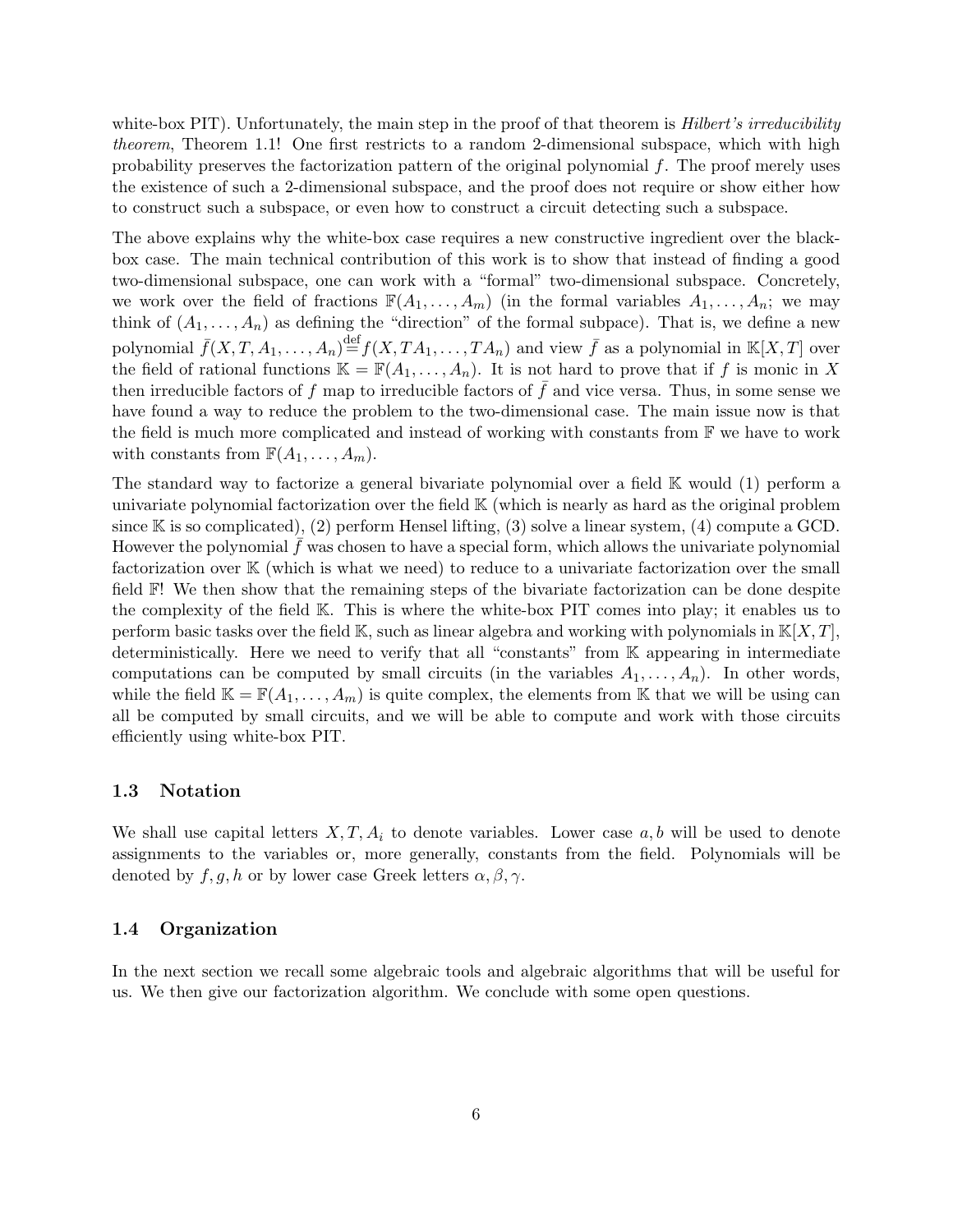white-box PIT). Unfortunately, the main step in the proof of that theorem is *Hilbert's irreducibility* theorem, Theorem 1.1! One first restricts to a random 2-dimensional subspace, which with high probability preserves the factorization pattern of the original polynomial  $f$ . The proof merely uses the existence of such a 2-dimensional subspace, and the proof does not require or show either how to construct such a subspace, or even how to construct a circuit detecting such a subspace.

The above explains why the white-box case requires a new constructive ingredient over the blackbox case. The main technical contribution of this work is to show that instead of finding a good two-dimensional subspace, one can work with a "formal" two-dimensional subspace. Concretely, we work over the field of fractions  $\mathbb{F}(A_1, \ldots, A_m)$  (in the formal variables  $A_1, \ldots, A_n$ ; we may think of  $(A_1, \ldots, A_n)$  as defining the "direction" of the formal subpace). That is, we define a new polynomial  $\bar{f}(X,T,A_1,\ldots,A_n) \stackrel{\text{def}}{=} f(X,TA_1,\ldots,TA_n)$  and view  $\bar{f}$  as a polynomial in  $\mathbb{K}[X,T]$  over the field of rational functions  $\mathbb{K} = \mathbb{F}(A_1, \ldots, A_n)$ . It is not hard to prove that if f is monic in X then irreducible factors of  $f$  map to irreducible factors of  $f$  and vice versa. Thus, in some sense we have found a way to reduce the problem to the two-dimensional case. The main issue now is that the field is much more complicated and instead of working with constants from  $\mathbb F$  we have to work with constants from  $\mathbb{F}(A_1,\ldots,A_m)$ .

The standard way to factorize a general bivariate polynomial over a field K would (1) perform a univariate polynomial factorization over the field K (which is nearly as hard as the original problem since  $\mathbb K$  is so complicated), (2) perform Hensel lifting, (3) solve a linear system, (4) compute a GCD. However the polynomial  $f$  was chosen to have a special form, which allows the univariate polynomial factorization over K (which is what we need) to reduce to a univariate factorization over the small field F! We then show that the remaining steps of the bivariate factorization can be done despite the complexity of the field K. This is where the white-box PIT comes into play; it enables us to perform basic tasks over the field K, such as linear algebra and working with polynomials in  $K[X, T]$ , deterministically. Here we need to verify that all "constants" from K appearing in intermediate computations can be computed by small circuits (in the variables  $A_1, \ldots, A_n$ ). In other words, while the field  $\mathbb{K} = \mathbb{F}(A_1, \ldots, A_m)$  is quite complex, the elements from K that we will be using can all be computed by small circuits, and we will be able to compute and work with those circuits efficiently using white-box PIT.

#### 1.3 Notation

We shall use capital letters  $X, T, A_i$  to denote variables. Lower case  $a, b$  will be used to denote assignments to the variables or, more generally, constants from the field. Polynomials will be denoted by  $f, g, h$  or by lower case Greek letters  $\alpha, \beta, \gamma$ .

#### 1.4 Organization

In the next section we recall some algebraic tools and algebraic algorithms that will be useful for us. We then give our factorization algorithm. We conclude with some open questions.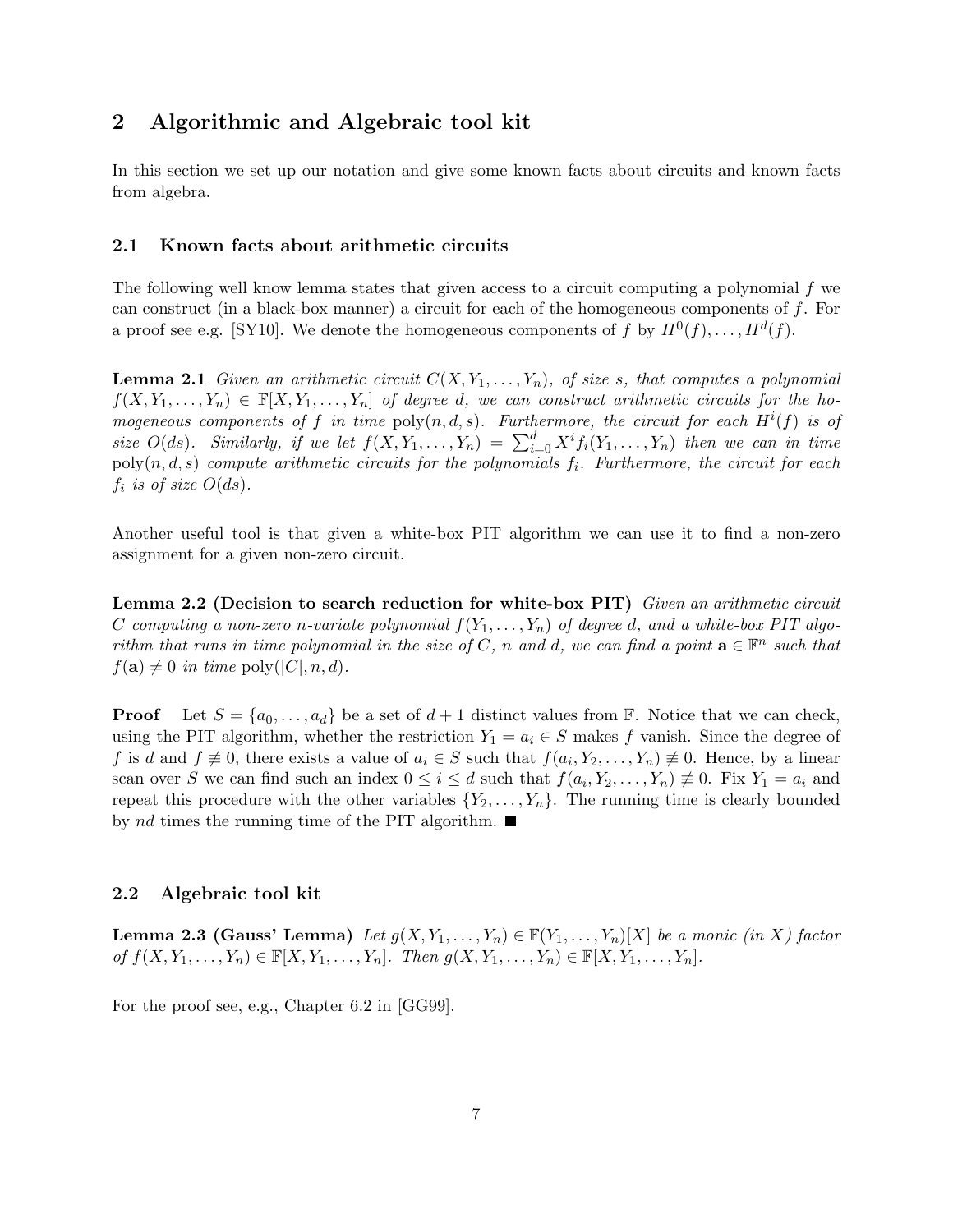# 2 Algorithmic and Algebraic tool kit

In this section we set up our notation and give some known facts about circuits and known facts from algebra.

### 2.1 Known facts about arithmetic circuits

The following well know lemma states that given access to a circuit computing a polynomial f we can construct (in a black-box manner) a circuit for each of the homogeneous components of  $f$ . For a proof see e.g. [SY10]. We denote the homogeneous components of f by  $H^0(f), \ldots, H^d(f)$ .

**Lemma 2.1** Given an arithmetic circuit  $C(X, Y_1, \ldots, Y_n)$ , of size s, that computes a polynomial  $f(X, Y_1, \ldots, Y_n) \in \mathbb{F}[X, Y_1, \ldots, Y_n]$  of degree d, we can construct arithmetic circuits for the homogeneous components of f in time  $poly(n, d, s)$ . Furthermore, the circuit for each  $H^{i}(f)$  is of size  $O(ds)$ . Similarly, if we let  $f(X, Y_1, \ldots, Y_n) = \sum_{i=0}^d X^i f_i(Y_1, \ldots, Y_n)$  then we can in time  $poly(n, d, s)$  compute arithmetic circuits for the polynomials  $f_i$ . Furthermore, the circuit for each  $f_i$  is of size  $O(ds)$ .

Another useful tool is that given a white-box PIT algorithm we can use it to find a non-zero assignment for a given non-zero circuit.

Lemma 2.2 (Decision to search reduction for white-box PIT) Given an arithmetic circuit C computing a non-zero n-variate polynomial  $f(Y_1, \ldots, Y_n)$  of degree d, and a white-box PIT algorithm that runs in time polynomial in the size of C, n and d, we can find a point  $\mathbf{a} \in \mathbb{F}^n$  such that  $f(\mathbf{a}) \neq 0$  in time  $\text{poly}(|C|, n, d)$ .

**Proof** Let  $S = \{a_0, \ldots, a_d\}$  be a set of  $d + 1$  distinct values from  $\mathbb{F}$ . Notice that we can check, using the PIT algorithm, whether the restriction  $Y_1 = a_i \in S$  makes f vanish. Since the degree of f is d and  $f \neq 0$ , there exists a value of  $a_i \in S$  such that  $f(a_i, Y_2, \ldots, Y_n) \neq 0$ . Hence, by a linear scan over S we can find such an index  $0 \leq i \leq d$  such that  $f(a_i, Y_2, \ldots, Y_n) \neq 0$ . Fix  $Y_1 = a_i$  and repeat this procedure with the other variables  $\{Y_2, \ldots, Y_n\}$ . The running time is clearly bounded by nd times the running time of the PIT algorithm.  $\blacksquare$ 

### 2.2 Algebraic tool kit

**Lemma 2.3 (Gauss' Lemma)** Let  $g(X, Y_1, \ldots, Y_n) \in \mathbb{F}(Y_1, \ldots, Y_n)[X]$  be a monic (in X) factor of  $f(X, Y_1, ..., Y_n) \in \mathbb{F}[X, Y_1, ..., Y_n]$ . Then  $g(X, Y_1, ..., Y_n) \in \mathbb{F}[X, Y_1, ..., Y_n]$ .

For the proof see, e.g., Chapter 6.2 in [GG99].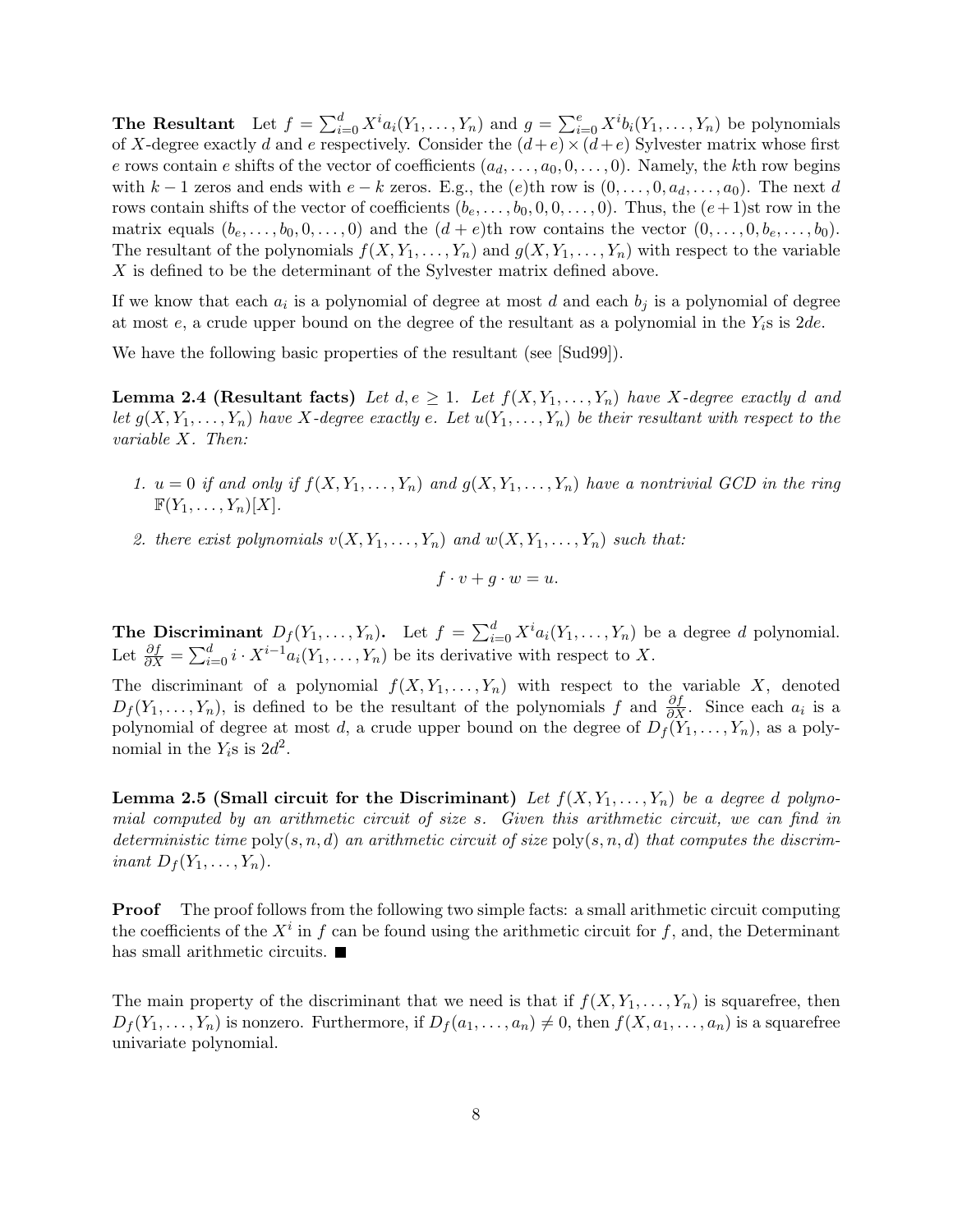**The Resultant** Let  $f = \sum_{i=0}^{d} X^{i} a_i(Y_1, \ldots, Y_n)$  and  $g = \sum_{i=0}^{e} X^{i} b_i(Y_1, \ldots, Y_n)$  be polynomials of X-degree exactly d and e respectively. Consider the  $(d+e) \times (d+e)$  Sylvester matrix whose first e rows contain e shifts of the vector of coefficients  $(a_d, \ldots, a_0, 0, \ldots, 0)$ . Namely, the kth row begins with k − 1 zeros and ends with  $e - k$  zeros. E.g., the (e)th row is  $(0, \ldots, 0, a_d, \ldots, a_0)$ . The next d rows contain shifts of the vector of coefficients  $(b_e, \ldots, b_0, 0, 0, \ldots, 0)$ . Thus, the  $(e+1)$ st row in the matrix equals  $(b_e, \ldots, b_0, 0, \ldots, 0)$  and the  $(d + e)$ th row contains the vector  $(0, \ldots, 0, b_e, \ldots, b_0)$ . The resultant of the polynomials  $f(X, Y_1, \ldots, Y_n)$  and  $g(X, Y_1, \ldots, Y_n)$  with respect to the variable X is defined to be the determinant of the Sylvester matrix defined above.

If we know that each  $a_i$  is a polynomial of degree at most d and each  $b_j$  is a polynomial of degree at most e, a crude upper bound on the degree of the resultant as a polynomial in the  $Y_i$ s is  $2de$ .

We have the following basic properties of the resultant (see [Sud99]).

**Lemma 2.4 (Resultant facts)** Let  $d, e \geq 1$ . Let  $f(X, Y_1, \ldots, Y_n)$  have X-degree exactly d and let  $g(X, Y_1, \ldots, Y_n)$  have X-degree exactly e. Let  $u(Y_1, \ldots, Y_n)$  be their resultant with respect to the variable X. Then:

- 1.  $u = 0$  if and only if  $f(X, Y_1, \ldots, Y_n)$  and  $g(X, Y_1, \ldots, Y_n)$  have a nontrivial GCD in the ring  $\mathbb{F}(Y_1,\ldots,Y_n)[X].$
- 2. there exist polynomials  $v(X, Y_1, \ldots, Y_n)$  and  $w(X, Y_1, \ldots, Y_n)$  such that:

$$
f \cdot v + g \cdot w = u.
$$

**The Discriminant**  $D_f(Y_1, \ldots, Y_n)$ . Let  $f = \sum_{i=0}^d X^i a_i(Y_1, \ldots, Y_n)$  be a degree d polynomial. Let  $\frac{\partial f}{\partial X} = \sum_{i=0}^d i \cdot X^{i-1} a_i(Y_1, \ldots, Y_n)$  be its derivative with respect to X.

The discriminant of a polynomial  $f(X, Y_1, \ldots, Y_n)$  with respect to the variable X, denoted  $D_f(Y_1,\ldots,Y_n)$ , is defined to be the resultant of the polynomials f and  $\frac{\partial f}{\partial X}$ . Since each  $a_i$  is a polynomial of degree at most d, a crude upper bound on the degree of  $D_f(Y_1,\ldots,Y_n)$ , as a polynomial in the  $Y_i$ s is  $2d^2$ .

**Lemma 2.5 (Small circuit for the Discriminant)** Let  $f(X, Y_1, \ldots, Y_n)$  be a degree d polynomial computed by an arithmetic circuit of size s. Given this arithmetic circuit, we can find in deterministic time  $poly(s, n, d)$  an arithmetic circuit of size  $poly(s, n, d)$  that computes the discriminant  $D_f(Y_1,\ldots,Y_n)$ .

**Proof** The proof follows from the following two simple facts: a small arithmetic circuit computing the coefficients of the  $X^i$  in f can be found using the arithmetic circuit for f, and, the Determinant has small arithmetic circuits.  $\blacksquare$ 

The main property of the discriminant that we need is that if  $f(X, Y_1, \ldots, Y_n)$  is squarefree, then  $D_f(Y_1,\ldots,Y_n)$  is nonzero. Furthermore, if  $D_f(a_1,\ldots,a_n) \neq 0$ , then  $f(X,a_1,\ldots,a_n)$  is a squarefree univariate polynomial.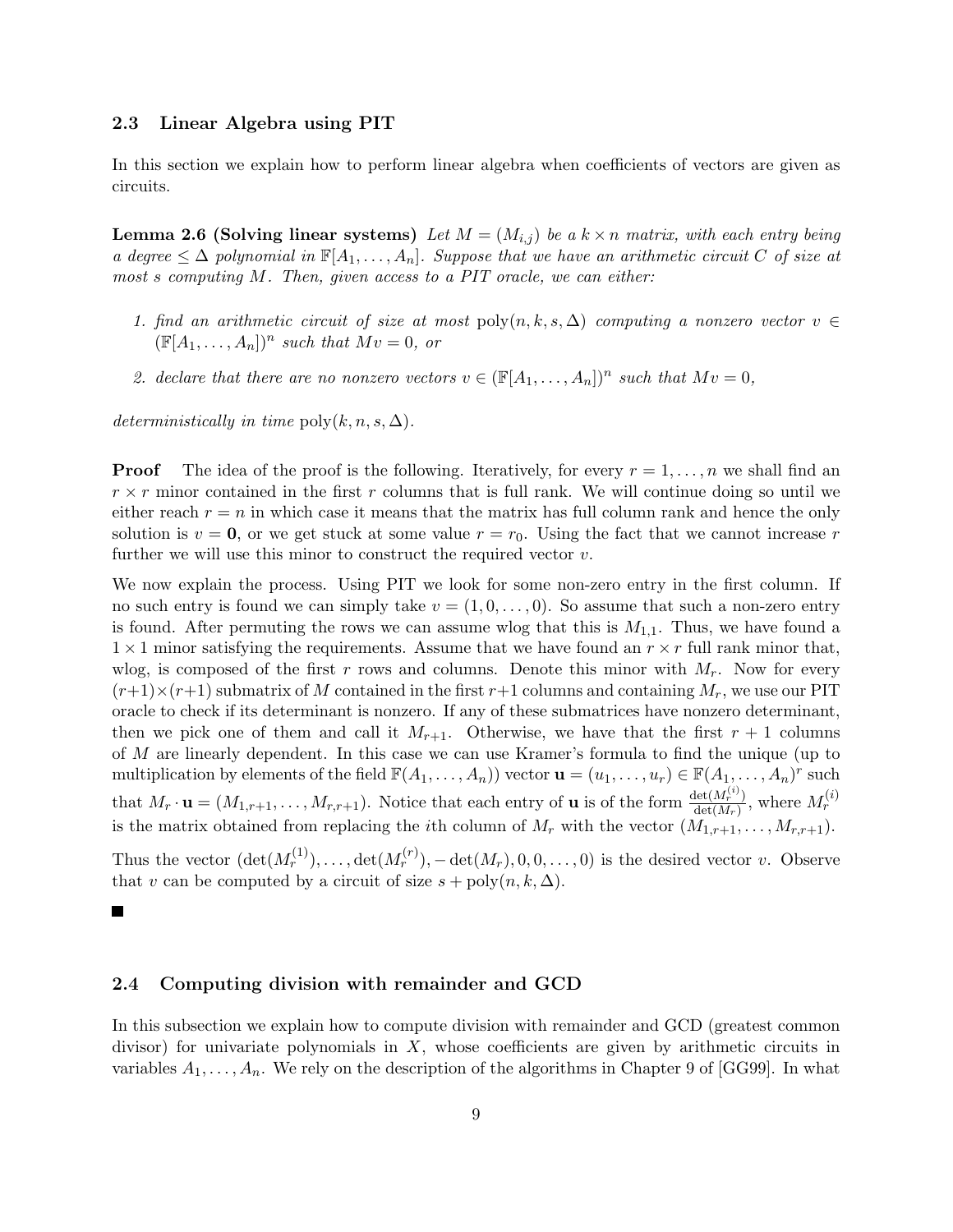### 2.3 Linear Algebra using PIT

In this section we explain how to perform linear algebra when coefficients of vectors are given as circuits.

**Lemma 2.6 (Solving linear systems)** Let  $M = (M_{i,j})$  be a  $k \times n$  matrix, with each entry being a degree  $\leq \Delta$  polynomial in  $\mathbb{F}[A_1,\ldots,A_n]$ . Suppose that we have an arithmetic circuit C of size at most s computing M. Then, given access to a PIT oracle, we can either:

- 1. find an arithmetic circuit of size at most  $\text{poly}(n, k, s, \Delta)$  computing a nonzero vector  $v \in$  $(\mathbb{F}[A_1,\ldots,A_n])^n$  such that  $Mv=0$ , or
- 2. declare that there are no nonzero vectors  $v \in (\mathbb{F}[A_1,\ldots,A_n])^n$  such that  $Mv = 0$ ,

deterministically in time  $\text{poly}(k, n, s, \Delta)$ .

**Proof** The idea of the proof is the following. Iteratively, for every  $r = 1, \ldots, n$  we shall find an  $r \times r$  minor contained in the first r columns that is full rank. We will continue doing so until we either reach  $r = n$  in which case it means that the matrix has full column rank and hence the only solution is  $v = 0$ , or we get stuck at some value  $r = r_0$ . Using the fact that we cannot increase r further we will use this minor to construct the required vector  $v$ .

We now explain the process. Using PIT we look for some non-zero entry in the first column. If no such entry is found we can simply take  $v = (1, 0, \ldots, 0)$ . So assume that such a non-zero entry is found. After permuting the rows we can assume wlog that this is  $M_{1,1}$ . Thus, we have found a  $1 \times 1$  minor satisfying the requirements. Assume that we have found an  $r \times r$  full rank minor that, wlog, is composed of the first r rows and columns. Denote this minor with  $M_r$ . Now for every  $(r+1)\times(r+1)$  submatrix of M contained in the first  $r+1$  columns and containing  $M_r$ , we use our PIT oracle to check if its determinant is nonzero. If any of these submatrices have nonzero determinant, then we pick one of them and call it  $M_{r+1}$ . Otherwise, we have that the first  $r + 1$  columns of M are linearly dependent. In this case we can use Kramer's formula to find the unique (up to multiplication by elements of the field  $\mathbb{F}(A_1,\ldots,A_n)$  vector  $\mathbf{u}=(u_1,\ldots,u_r)\in\mathbb{F}(A_1,\ldots,A_n)^r$  such that  $M_r \cdot \mathbf{u} = (M_{1,r+1}, \ldots, M_{r,r+1})$ . Notice that each entry of **u** is of the form  $\frac{\det(M_r^{(i)})}{\det(M_r)}$  $\frac{\det(M_r^{(i)})}{\det(M_r)},$  where  $M_r^{(i)}$ is the matrix obtained from replacing the *i*th column of  $M_r$  with the vector  $(M_{1,r+1}, \ldots, M_{r,r+1})$ .

Thus the vector  $(\det(M_r^{(1)}), \ldots, \det(M_r^{(r)}), -\det(M_r), 0, 0, \ldots, 0)$  is the desired vector v. Observe that v can be computed by a circuit of size  $s + \text{poly}(n, k, \Delta)$ .

 $\blacksquare$ 

#### 2.4 Computing division with remainder and GCD

In this subsection we explain how to compute division with remainder and GCD (greatest common divisor) for univariate polynomials in  $X$ , whose coefficients are given by arithmetic circuits in variables  $A_1, \ldots, A_n$ . We rely on the description of the algorithms in Chapter 9 of [GG99]. In what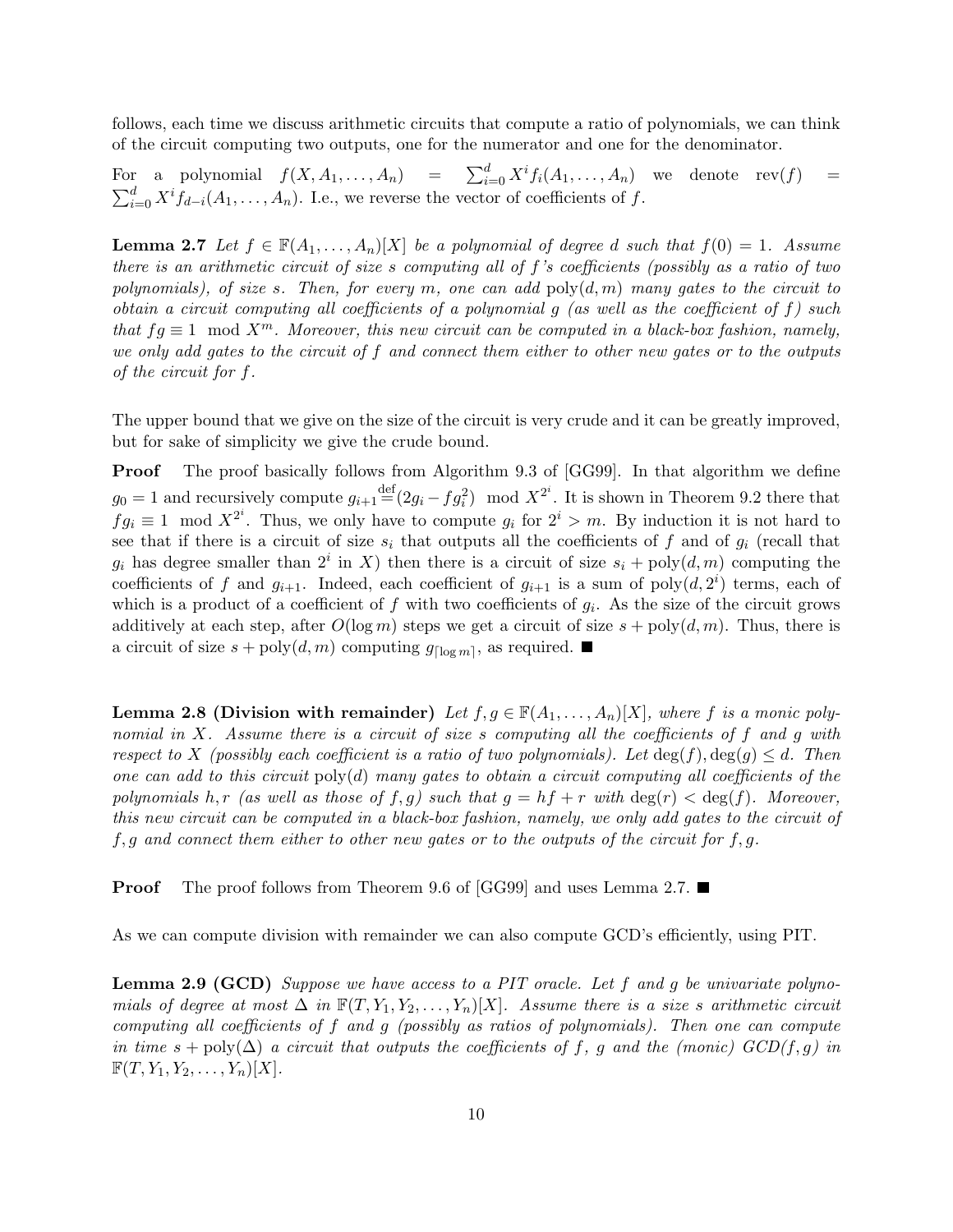follows, each time we discuss arithmetic circuits that compute a ratio of polynomials, we can think of the circuit computing two outputs, one for the numerator and one for the denominator.

For a polynomial  $f(X, A_1, \ldots, A_n) = \sum_{i=0}^d X^i f_i(A_1, \ldots, A_n)$  we denote  $rev(f)$  =  $\sum_{i=0}^{d} X^{i} f_{d-i}(A_1,\ldots,A_n)$ . I.e., we reverse the vector of coefficients of f.

**Lemma 2.7** Let  $f \in \mathbb{F}(A_1, \ldots, A_n)[X]$  be a polynomial of degree d such that  $f(0) = 1$ . Assume there is an arithmetic circuit of size s computing all of f's coefficients (possibly as a ratio of two polynomials), of size s. Then, for every m, one can add  $poly(d, m)$  many gates to the circuit to obtain a circuit computing all coefficients of a polynomial  $g$  (as well as the coefficient of  $f$ ) such that  $fg \equiv 1 \mod X^m$ . Moreover, this new circuit can be computed in a black-box fashion, namely, we only add gates to the circuit of f and connect them either to other new gates or to the outputs of the circuit for f.

The upper bound that we give on the size of the circuit is very crude and it can be greatly improved, but for sake of simplicity we give the crude bound.

Proof The proof basically follows from Algorithm 9.3 of [GG99]. In that algorithm we define  $g_0 = 1$  and recursively compute  $g_{i+1} \equiv (2g_i - fg_i^2) \mod X^{2^i}$ . It is shown in Theorem 9.2 there that  $fg_i \equiv 1 \mod X^{2^i}$ . Thus, we only have to compute  $g_i$  for  $2^i > m$ . By induction it is not hard to see that if there is a circuit of size  $s_i$  that outputs all the coefficients of f and of  $g_i$  (recall that  $g_i$  has degree smaller than  $2^i$  in X) then there is a circuit of size  $s_i + \text{poly}(d, m)$  computing the coefficients of f and  $g_{i+1}$ . Indeed, each coefficient of  $g_{i+1}$  is a sum of  $poly(d, 2^i)$  terms, each of which is a product of a coefficient of f with two coefficients of  $g_i$ . As the size of the circuit grows additively at each step, after  $O(\log m)$  steps we get a circuit of size  $s + \text{poly}(d, m)$ . Thus, there is a circuit of size  $s + \text{poly}(d, m)$  computing  $g_{\lceil \log m \rceil}$ , as required.

Lemma 2.8 (Division with remainder) Let  $f, g \in \mathbb{F}(A_1, \ldots, A_n)[X]$ , where f is a monic polynomial in X. Assume there is a circuit of size s computing all the coefficients of  $f$  and  $g$  with respect to X (possibly each coefficient is a ratio of two polynomials). Let  $\deg(f), \deg(g) \leq d$ . Then one can add to this circuit  $poly(d)$  many gates to obtain a circuit computing all coefficients of the polynomials h, r (as well as those of f, g) such that  $g = hf + r$  with  $\deg(r) < \deg(f)$ . Moreover, this new circuit can be computed in a black-box fashion, namely, we only add gates to the circuit of  $f, g$  and connect them either to other new gates or to the outputs of the circuit for f, g.

**Proof** The proof follows from Theorem 9.6 of [GG99] and uses Lemma 2.7.

As we can compute division with remainder we can also compute GCD's efficiently, using PIT.

**Lemma 2.9 (GCD)** Suppose we have access to a PIT oracle. Let f and g be univariate polynomials of degree at most  $\Delta$  in  $\mathbb{F}(T, Y_1, Y_2, \ldots, Y_n)[X]$ . Assume there is a size s arithmetic circuit computing all coefficients of f and g (possibly as ratios of polynomials). Then one can compute in time  $s + \text{poly}(\Delta)$  a circuit that outputs the coefficients of f, g and the (monic)  $GCD(f, g)$  in  $\mathbb{F}(T, Y_1, Y_2, \ldots, Y_n)[X].$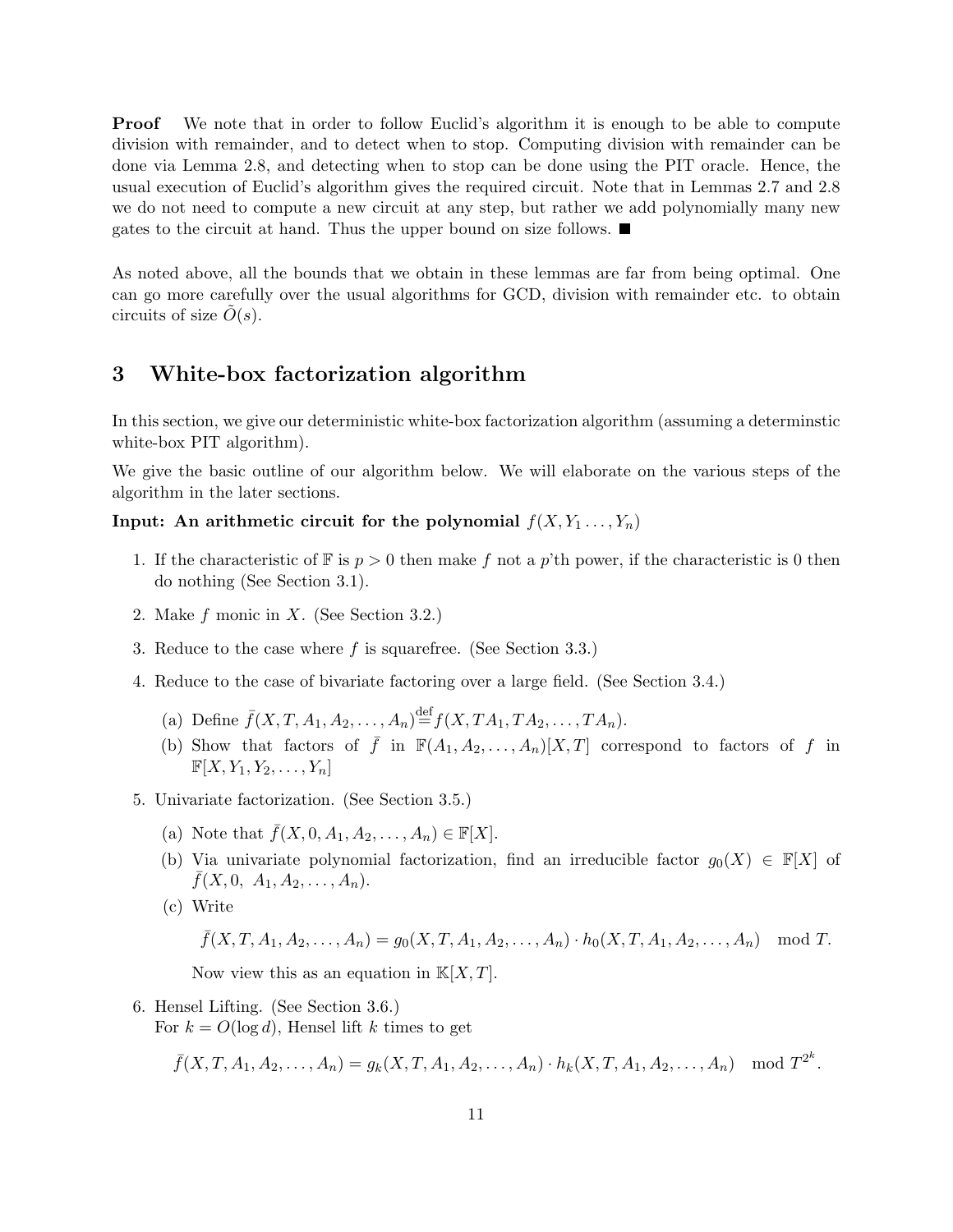**Proof** We note that in order to follow Euclid's algorithm it is enough to be able to compute division with remainder, and to detect when to stop. Computing division with remainder can be done via Lemma 2.8, and detecting when to stop can be done using the PIT oracle. Hence, the usual execution of Euclid's algorithm gives the required circuit. Note that in Lemmas 2.7 and 2.8 we do not need to compute a new circuit at any step, but rather we add polynomially many new gates to the circuit at hand. Thus the upper bound on size follows.  $\blacksquare$ 

As noted above, all the bounds that we obtain in these lemmas are far from being optimal. One can go more carefully over the usual algorithms for GCD, division with remainder etc. to obtain circuits of size  $\tilde{O}(s)$ .

# 3 White-box factorization algorithm

In this section, we give our deterministic white-box factorization algorithm (assuming a determinstic white-box PIT algorithm).

We give the basic outline of our algorithm below. We will elaborate on the various steps of the algorithm in the later sections.

# Input: An arithmetic circuit for the polynomial  $f(X, Y_1, \ldots, Y_n)$

- 1. If the characteristic of  $\mathbb F$  is  $p > 0$  then make f not a p'th power, if the characteristic is 0 then do nothing (See Section 3.1).
- 2. Make f monic in X. (See Section 3.2.)
- 3. Reduce to the case where f is squarefree. (See Section 3.3.)
- 4. Reduce to the case of bivariate factoring over a large field. (See Section 3.4.)
	- (a) Define  $\bar{f}(X, T, A_1, A_2, \ldots, A_n) \stackrel{\text{def}}{=} f(X, TA_1, TA_2, \ldots, TA_n).$
	- (b) Show that factors of  $\bar{f}$  in  $\mathbb{F}(A_1, A_2, \ldots, A_n)[X,T]$  correspond to factors of f in  $\mathbb{F}[X, Y_1, Y_2, \ldots, Y_n]$
- 5. Univariate factorization. (See Section 3.5.)
	- (a) Note that  $\bar{f}(X, 0, A_1, A_2, \ldots, A_n) \in \mathbb{F}[X].$
	- (b) Via univariate polynomial factorization, find an irreducible factor  $g_0(X) \in \mathbb{F}[X]$  of  $\bar{f}(X,0, A_1, A_2, \ldots, A_n).$
	- (c) Write

$$
\bar{f}(X, T, A_1, A_2, \dots, A_n) = g_0(X, T, A_1, A_2, \dots, A_n) \cdot h_0(X, T, A_1, A_2, \dots, A_n) \mod T.
$$

Now view this as an equation in  $K[X, T]$ .

6. Hensel Lifting. (See Section 3.6.)

For  $k = O(\log d)$ , Hensel lift k times to get

$$
\bar{f}(X, T, A_1, A_2, \dots, A_n) = g_k(X, T, A_1, A_2, \dots, A_n) \cdot h_k(X, T, A_1, A_2, \dots, A_n) \mod T^{2^k}.
$$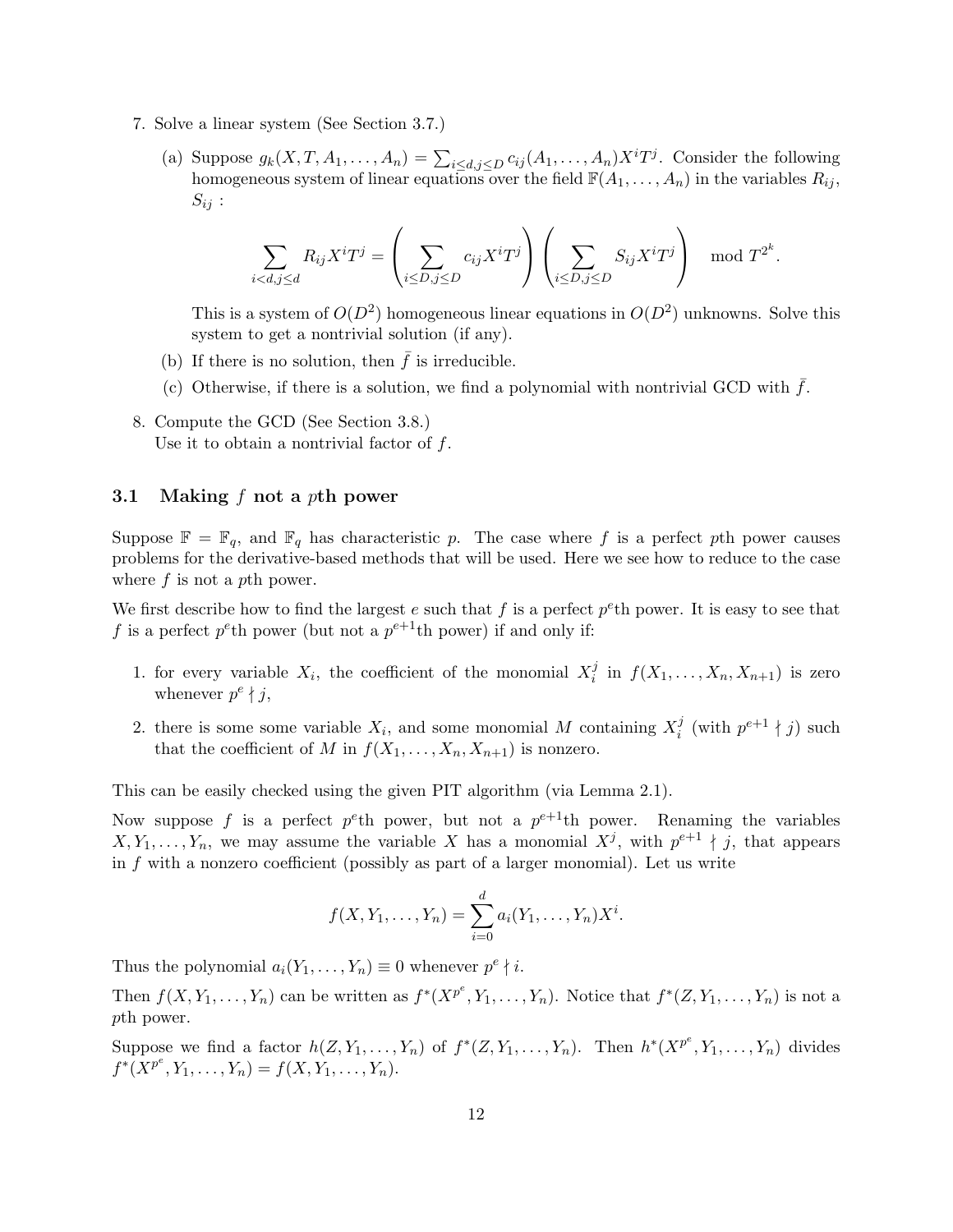- 7. Solve a linear system (See Section 3.7.)
	- (a) Suppose  $g_k(X, T, A_1, \ldots, A_n) = \sum_{i \le d, j \le D} c_{ij}(A_1, \ldots, A_n) X^i T^j$ . Consider the following homogeneous system of linear equations over the field  $\mathbb{F}(A_1, \ldots, A_n)$  in the variables  $R_{ij}$ ,  $S_{ij}$ :

$$
\sum_{i < d, j \le d} R_{ij} X^i T^j = \left( \sum_{i \le D, j \le D} c_{ij} X^i T^j \right) \left( \sum_{i \le D, j \le D} S_{ij} X^i T^j \right) \mod T^{2^k}.
$$

This is a system of  $O(D^2)$  homogeneous linear equations in  $O(D^2)$  unknowns. Solve this system to get a nontrivial solution (if any).

- (b) If there is no solution, then  $\bar{f}$  is irreducible.
- (c) Otherwise, if there is a solution, we find a polynomial with nontrivial GCD with  $f$ .
- 8. Compute the GCD (See Section 3.8.) Use it to obtain a nontrivial factor of  $f$ .

#### 3.1 Making  $f$  not a pth power

Suppose  $\mathbb{F} = \mathbb{F}_q$ , and  $\mathbb{F}_q$  has characteristic p. The case where f is a perfect pth power causes problems for the derivative-based methods that will be used. Here we see how to reduce to the case where  $f$  is not a pth power.

We first describe how to find the largest e such that f is a perfect  $p^e$ th power. It is easy to see that f is a perfect  $p^e$ th power (but not a  $p^{e+1}$ th power) if and only if:

- 1. for every variable  $X_i$ , the coefficient of the monomial  $X_i^j$  $j \text{ in } f(X_1,\ldots,X_n,X_{n+1})$  is zero whenever  $p^e \nmid j$ ,
- 2. there is some some variable  $X_i$ , and some monomial M containing  $X_i^j$  $i$ <sup>j</sup> (with  $p^{e+1} \nmid j$ ) such that the coefficient of M in  $f(X_1, \ldots, X_n, X_{n+1})$  is nonzero.

This can be easily checked using the given PIT algorithm (via Lemma 2.1).

Now suppose f is a perfect  $p^e$ th power, but not a  $p^{e+1}$ th power. Renaming the variables  $X, Y_1, \ldots, Y_n$ , we may assume the variable X has a monomial  $X^j$ , with  $p^{e+1} \nmid j$ , that appears in  $f$  with a nonzero coefficient (possibly as part of a larger monomial). Let us write

$$
f(X, Y_1, \dots, Y_n) = \sum_{i=0}^d a_i(Y_1, \dots, Y_n) X^i.
$$

Thus the polynomial  $a_i(Y_1, \ldots, Y_n) \equiv 0$  whenever  $p^e \nmid i$ .

Then  $f(X, Y_1, \ldots, Y_n)$  can be written as  $f^*(X^{p^e}, Y_1, \ldots, Y_n)$ . Notice that  $f^*(Z, Y_1, \ldots, Y_n)$  is not a pth power.

Suppose we find a factor  $h(Z, Y_1, \ldots, Y_n)$  of  $f^*(Z, Y_1, \ldots, Y_n)$ . Then  $h^*(X^{p^e}, Y_1, \ldots, Y_n)$  divides  $f^*(\overline{X}^{p^e}, Y_1, \ldots, Y_n) = f(X, Y_1, \ldots, Y_n).$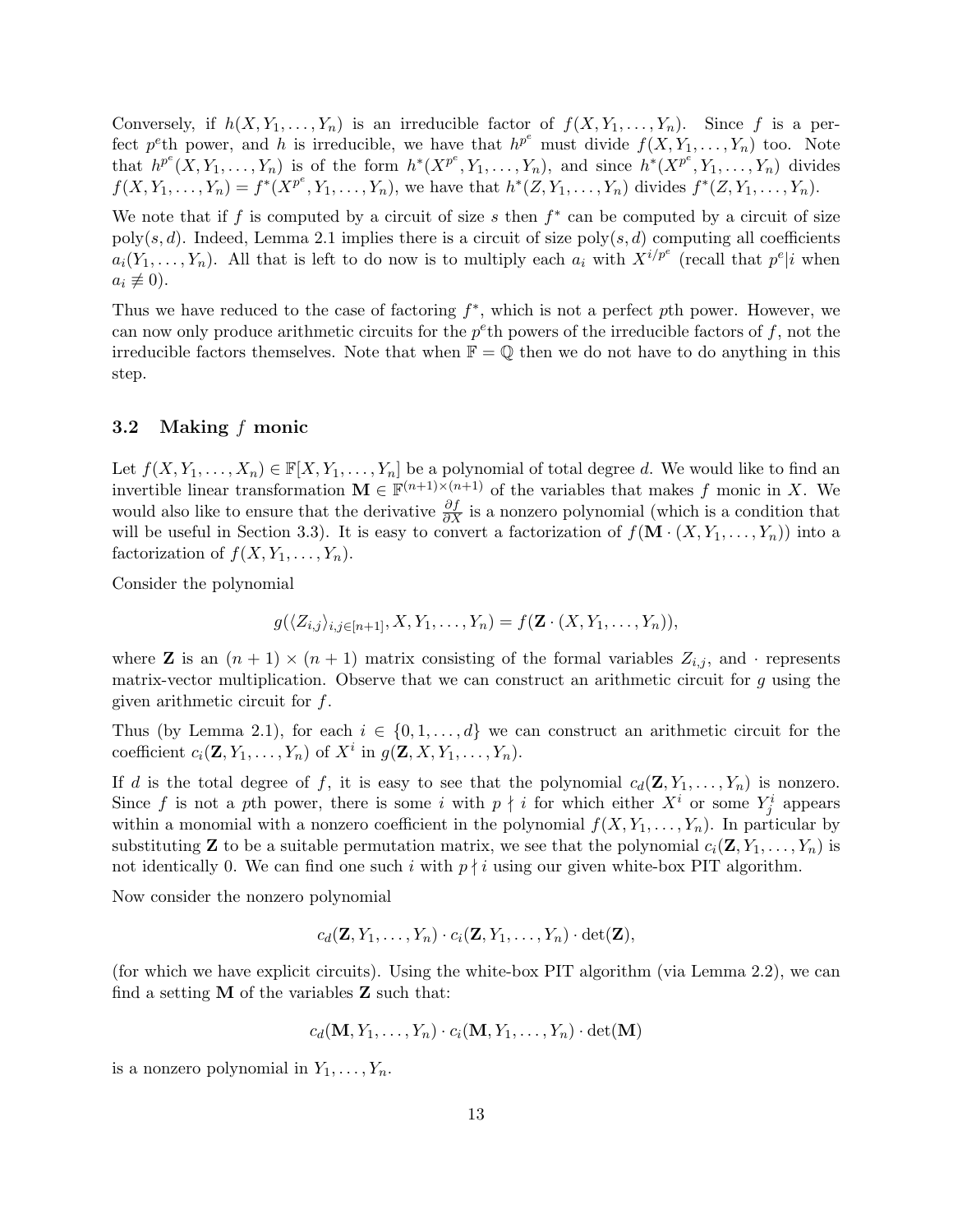Conversely, if  $h(X, Y_1, \ldots, Y_n)$  is an irreducible factor of  $f(X, Y_1, \ldots, Y_n)$ . Since f is a perfect p<sup>e</sup>th power, and h is irreducible, we have that  $h^{p^e}$  must divide  $f(X, Y_1, \ldots, Y_n)$  too. Note that  $h^{p^e}(X, Y_1, \ldots, Y_n)$  is of the form  $h^*(X^{p^e}, Y_1, \ldots, Y_n)$ , and since  $h^*(X^{p^e}, Y_1, \ldots, Y_n)$  divides  $f(X, Y_1, \ldots, Y_n) = f^*(X^{p^e}, Y_1, \ldots, Y_n)$ , we have that  $h^*(Z, Y_1, \ldots, Y_n)$  divides  $f^*(Z, Y_1, \ldots, Y_n)$ .

We note that if f is computed by a circuit of size s then  $f^*$  can be computed by a circuit of size poly(s, d). Indeed, Lemma 2.1 implies there is a circuit of size poly(s, d) computing all coefficients  $a_i(Y_1,\ldots,Y_n)$ . All that is left to do now is to multiply each  $a_i$  with  $X^{i/p^e}$  (recall that  $p^e|i$  when  $a_i \not\equiv 0$ ).

Thus we have reduced to the case of factoring  $f^*$ , which is not a perfect pth power. However, we can now only produce arithmetic circuits for the  $p^e$ th powers of the irreducible factors of f, not the irreducible factors themselves. Note that when  $\mathbb{F} = \mathbb{Q}$  then we do not have to do anything in this step.

### 3.2 Making f monic

Let  $f(X, Y_1, \ldots, X_n) \in \mathbb{F}[X, Y_1, \ldots, Y_n]$  be a polynomial of total degree d. We would like to find an invertible linear transformation  $\mathbf{M} \in \mathbb{F}^{(n+1)\times(n+1)}$  of the variables that makes f monic in X. We would also like to ensure that the derivative  $\frac{\partial f}{\partial X}$  is a nonzero polynomial (which is a condition that will be useful in Section 3.3). It is easy to convert a factorization of  $f(\mathbf{M} \cdot (X, Y_1, \ldots, Y_n))$  into a factorization of  $f(X, Y_1, \ldots, Y_n)$ .

Consider the polynomial

$$
g(\langle Z_{i,j}\rangle_{i,j\in[n+1]},X,Y_1,\ldots,Y_n)=f(\mathbf{Z}\cdot(X,Y_1,\ldots,Y_n)),
$$

where **Z** is an  $(n + 1) \times (n + 1)$  matrix consisting of the formal variables  $Z_{i,j}$ , and · represents matrix-vector multiplication. Observe that we can construct an arithmetic circuit for  $q$  using the given arithmetic circuit for  $f$ .

Thus (by Lemma 2.1), for each  $i \in \{0, 1, \ldots, d\}$  we can construct an arithmetic circuit for the coefficient  $c_i(\mathbf{Z}, Y_1, \ldots, Y_n)$  of  $X^i$  in  $g(\mathbf{Z}, X, Y_1, \ldots, Y_n)$ .

If d is the total degree of f, it is easy to see that the polynomial  $c_d(\mathbf{Z}, Y_1, \ldots, Y_n)$  is nonzero. Since f is not a pth power, there is some i with  $p \nmid i$  for which either  $X^i$  or some  $Y^i_j$  appears within a monomial with a nonzero coefficient in the polynomial  $f(X, Y_1, \ldots, Y_n)$ . In particular by substituting **Z** to be a suitable permutation matrix, we see that the polynomial  $c_i(\mathbf{Z}, Y_1, \ldots, Y_n)$  is not identically 0. We can find one such i with  $p \nmid i$  using our given white-box PIT algorithm.

Now consider the nonzero polynomial

$$
c_d(\mathbf{Z}, Y_1, \ldots, Y_n) \cdot c_i(\mathbf{Z}, Y_1, \ldots, Y_n) \cdot \det(\mathbf{Z}),
$$

(for which we have explicit circuits). Using the white-box PIT algorithm (via Lemma 2.2), we can find a setting  $M$  of the variables  $Z$  such that:

$$
c_d(\mathbf{M}, Y_1, \ldots, Y_n) \cdot c_i(\mathbf{M}, Y_1, \ldots, Y_n) \cdot \det(\mathbf{M})
$$

is a nonzero polynomial in  $Y_1, \ldots, Y_n$ .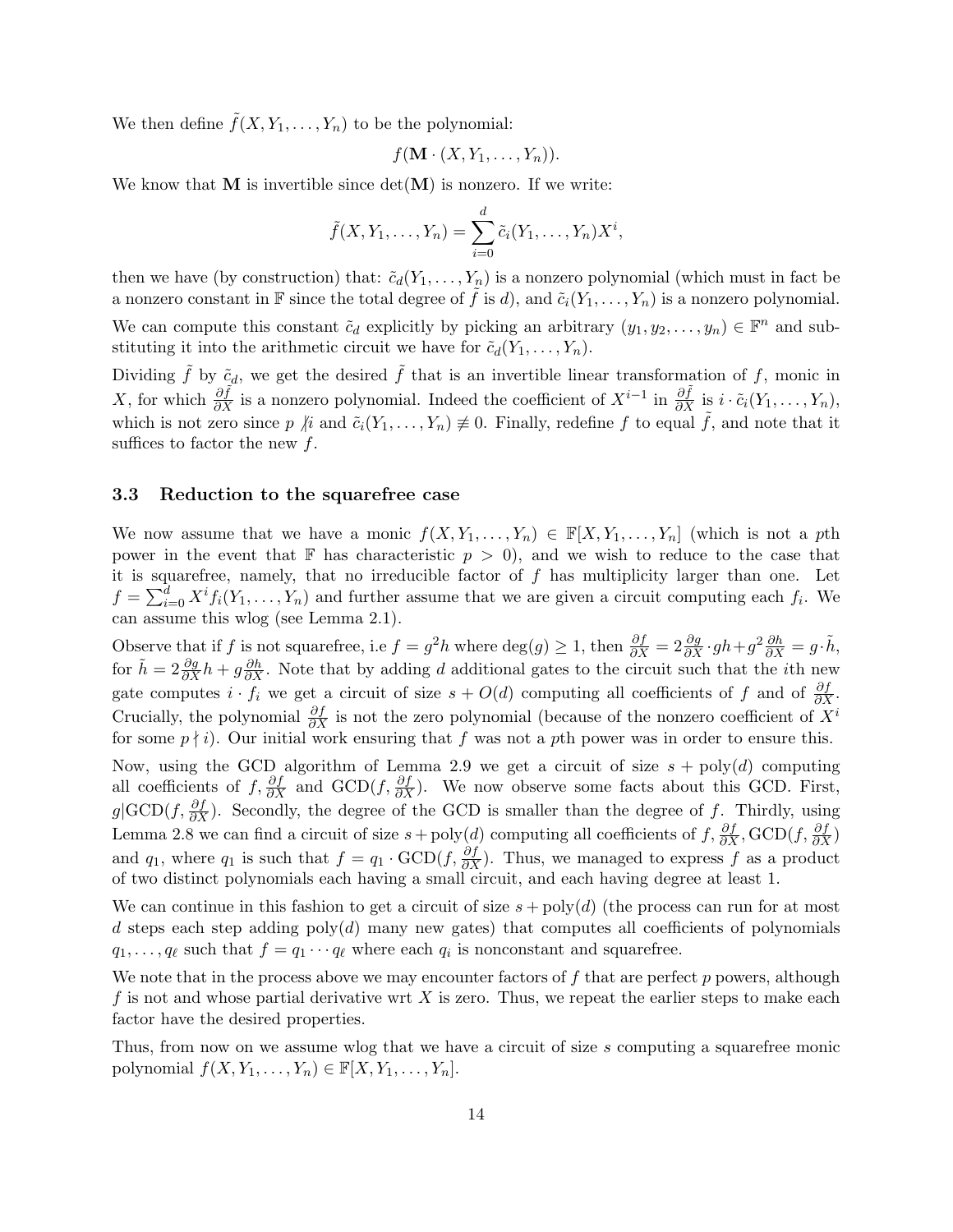We then define  $\tilde{f}(X, Y_1, \ldots, Y_n)$  to be the polynomial:

$$
f(\mathbf{M} \cdot (X, Y_1, \ldots, Y_n)).
$$

We know that  $M$  is invertible since  $\det(M)$  is nonzero. If we write:

$$
\tilde{f}(X, Y_1, \dots, Y_n) = \sum_{i=0}^d \tilde{c}_i(Y_1, \dots, Y_n) X^i,
$$

then we have (by construction) that:  $\tilde{c}_d(Y_1, \ldots, Y_n)$  is a nonzero polynomial (which must in fact be a nonzero constant in F since the total degree of  $\tilde{f}$  is d), and  $\tilde{c}_i(Y_1,\ldots,Y_n)$  is a nonzero polynomial.

We can compute this constant  $\tilde{c}_d$  explicitly by picking an arbitrary  $(y_1, y_2, \ldots, y_n) \in \mathbb{F}^n$  and substituting it into the arithmetic circuit we have for  $\tilde{c}_d(Y_1,\ldots,Y_n)$ .

Dividing f by  $\tilde{c}_d$ , we get the desired f that is an invertible linear transformation of f, monic in X, for which  $\frac{\partial \tilde{f}}{\partial X}$  is a nonzero polynomial. Indeed the coefficient of  $X^{i-1}$  in  $\frac{\partial \tilde{f}}{\partial X}$  is  $i \cdot \tilde{c}_i(Y_1, \ldots, Y_n)$ , which is not zero since p  $\hat{p}$  and  $\tilde{c}_i(Y_1,\ldots,Y_n) \not\equiv 0$ . Finally, redefine f to equal  $\tilde{f}$ , and note that it suffices to factor the new  $f$ .

#### 3.3 Reduction to the squarefree case

We now assume that we have a monic  $f(X, Y_1, \ldots, Y_n) \in \mathbb{F}[X, Y_1, \ldots, Y_n]$  (which is not a pth power in the event that F has characteristic  $p > 0$ , and we wish to reduce to the case that it is squarefree, namely, that no irreducible factor of  $f$  has multiplicity larger than one. Let  $f = \sum_{i=0}^{d} X^{i} f_{i}(Y_{1},...,Y_{n})$  and further assume that we are given a circuit computing each  $f_{i}$ . We can assume this wlog (see Lemma 2.1).

Observe that if f is not squarefree, i.e  $f = g^2 h$  where  $\deg(g) \geq 1$ , then  $\frac{\partial f}{\partial X} = 2 \frac{\partial g}{\partial X} \cdot gh + g^2 \frac{\partial h}{\partial X} = g \cdot \tilde{h}$ , for  $\tilde{h} = 2 \frac{\partial g}{\partial X} h + g \frac{\partial h}{\partial X}$ . Note that by adding d additional gates to the circuit such that the *i*th new gate computes  $i \cdot f_i$  we get a circuit of size  $s + O(d)$  computing all coefficients of f and of  $\frac{\partial f}{\partial X}$ . Crucially, the polynomial  $\frac{\partial f}{\partial X}$  is not the zero polynomial (because of the nonzero coefficient of  $X^i$ for some  $p \nmid i$ . Our initial work ensuring that f was not a pth power was in order to ensure this.

Now, using the GCD algorithm of Lemma 2.9 we get a circuit of size  $s + \text{poly}(d)$  computing all coefficients of  $f, \frac{\partial f}{\partial X}$  and  $GCD(f, \frac{\partial f}{\partial X})$ . We now observe some facts about this GCD. First,  $g|\text{GCD}(f, \frac{\partial f}{\partial X})$ . Secondly, the degree of the GCD is smaller than the degree of f. Thirdly, using Lemma 2.8 we can find a circuit of size  $s + \text{poly}(d)$  computing all coefficients of  $f$ ,  $\frac{\partial f}{\partial X}$ ,  $\text{GCD}(f, \frac{\partial f}{\partial X})$ and  $q_1$ , where  $q_1$  is such that  $f = q_1 \cdot \text{GCD}(f, \frac{\partial f}{\partial X})$ . Thus, we managed to express f as a product of two distinct polynomials each having a small circuit, and each having degree at least 1.

We can continue in this fashion to get a circuit of size  $s + \text{poly}(d)$  (the process can run for at most d steps each step adding  $poly(d)$  many new gates) that computes all coefficients of polynomials  $q_1, \ldots, q_\ell$  such that  $f = q_1 \cdots q_\ell$  where each  $q_i$  is nonconstant and squarefree.

We note that in the process above we may encounter factors of  $f$  that are perfect  $p$  powers, although f is not and whose partial derivative wrt  $X$  is zero. Thus, we repeat the earlier steps to make each factor have the desired properties.

Thus, from now on we assume wlog that we have a circuit of size s computing a squarefree monic polynomial  $f(X, Y_1, \ldots, Y_n) \in \mathbb{F}[X, Y_1, \ldots, Y_n].$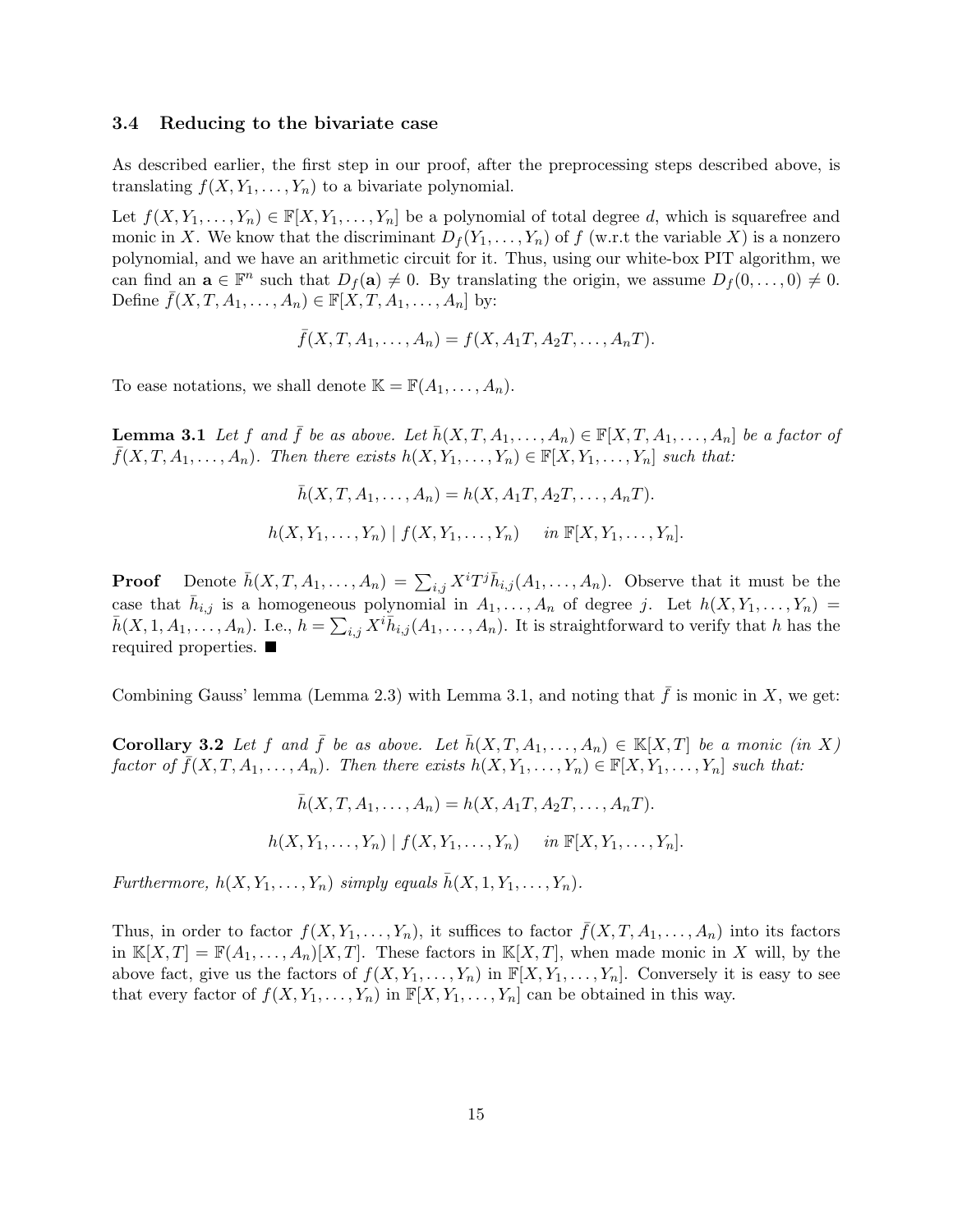#### 3.4 Reducing to the bivariate case

As described earlier, the first step in our proof, after the preprocessing steps described above, is translating  $f(X, Y_1, \ldots, Y_n)$  to a bivariate polynomial.

Let  $f(X, Y_1, \ldots, Y_n) \in \mathbb{F}[X, Y_1, \ldots, Y_n]$  be a polynomial of total degree d, which is squarefree and monic in X. We know that the discriminant  $D_f(Y_1, \ldots, Y_n)$  of f (w.r.t the variable X) is a nonzero polynomial, and we have an arithmetic circuit for it. Thus, using our white-box PIT algorithm, we can find an  $\mathbf{a} \in \mathbb{F}^n$  such that  $D_f(\mathbf{a}) \neq 0$ . By translating the origin, we assume  $D_f(0, \ldots, 0) \neq 0$ . Define  $\bar{f}(X, T, A_1, \ldots, A_n) \in \mathbb{F}[X, T, A_1, \ldots, A_n]$  by:

$$
\bar{f}(X, T, A_1, \dots, A_n) = f(X, A_1T, A_2T, \dots, A_nT).
$$

To ease notations, we shall denote  $\mathbb{K} = \mathbb{F}(A_1, \ldots, A_n)$ .

**Lemma 3.1** Let f and  $\bar{f}$  be as above. Let  $\bar{h}(X, T, A_1, \ldots, A_n) \in \mathbb{F}[X, T, A_1, \ldots, A_n]$  be a factor of  $f(X, T, A_1, \ldots, A_n)$ . Then there exists  $h(X, Y_1, \ldots, Y_n) \in \mathbb{F}[X, Y_1, \ldots, Y_n]$  such that:

$$
\bar{h}(X, T, A_1, \dots, A_n) = h(X, A_1T, A_2T, \dots, A_nT).
$$
  

$$
h(X, Y_1, \dots, Y_n) | f(X, Y_1, \dots, Y_n) \quad in \mathbb{F}[X, Y_1, \dots, Y_n].
$$

**Proof** Denote  $\bar{h}(X, T, A_1, \ldots, A_n) = \sum_{i,j} X^i T^j \bar{h}_{i,j}(A_1, \ldots, A_n)$ . Observe that it must be the case that  $\bar{h}_{i,j}$  is a homogeneous polynomial in  $A_1, \ldots, A_n$  of degree j. Let  $h(X, Y_1, \ldots, Y_n) =$  $\bar{h}(X,1,A_1,\ldots,A_n)$ . I.e.,  $\bar{h} = \sum_{i,j} X^i \bar{h}_{i,j}(A_1,\ldots,A_n)$ . It is straightforward to verify that h has the required properties.

Combining Gauss' lemma (Lemma 2.3) with Lemma 3.1, and noting that  $\bar{f}$  is monic in X, we get:

**Corollary 3.2** Let f and  $\bar{f}$  be as above. Let  $\bar{h}(X, T, A_1, \ldots, A_n) \in \mathbb{K}[X,T]$  be a monic (in X) factor of  $\bar{f}(X, T, A_1, \ldots, A_n)$ . Then there exists  $h(X, Y_1, \ldots, Y_n) \in \mathbb{F}[X, Y_1, \ldots, Y_n]$  such that:

$$
\bar{h}(X, T, A_1, \dots, A_n) = h(X, A_1T, A_2T, \dots, A_nT).
$$
  

$$
h(X, Y_1, \dots, Y_n) | f(X, Y_1, \dots, Y_n) \quad in \mathbb{F}[X, Y_1, \dots, Y_n].
$$

Furthermore,  $h(X, Y_1, \ldots, Y_n)$  simply equals  $\bar{h}(X, 1, Y_1, \ldots, Y_n)$ .

Thus, in order to factor  $f(X, Y_1, \ldots, Y_n)$ , it suffices to factor  $\bar{f}(X, T, A_1, \ldots, A_n)$  into its factors in  $\mathbb{K}[X,T] = \mathbb{F}(A_1,\ldots,A_n)[X,T]$ . These factors in  $\mathbb{K}[X,T]$ , when made monic in X will, by the above fact, give us the factors of  $f(X, Y_1, \ldots, Y_n)$  in  $\mathbb{F}[X, Y_1, \ldots, Y_n]$ . Conversely it is easy to see that every factor of  $f(X, Y_1, \ldots, Y_n)$  in  $\mathbb{F}[X, Y_1, \ldots, Y_n]$  can be obtained in this way.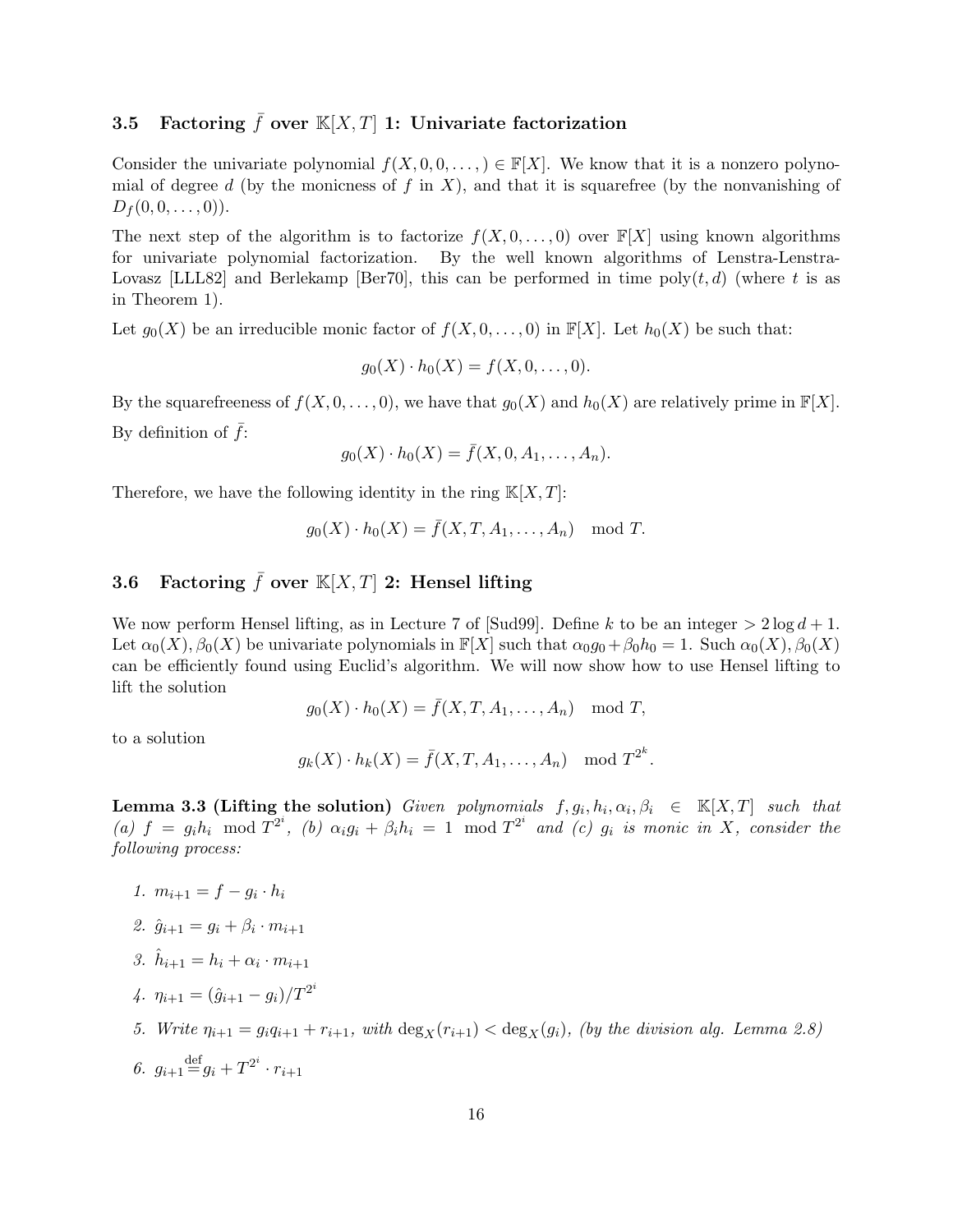# 3.5 Factoring  $\bar{f}$  over  $\mathbb{K}[X,T]$  1: Univariate factorization

Consider the univariate polynomial  $f(X, 0, 0, \ldots) \in \mathbb{F}[X]$ . We know that it is a nonzero polynomial of degree d (by the monicness of f in X), and that it is squarefree (by the nonvanishing of  $D_f (0, 0, \ldots, 0)).$ 

The next step of the algorithm is to factorize  $f(X, 0, \ldots, 0)$  over  $\mathbb{F}[X]$  using known algorithms for univariate polynomial factorization. By the well known algorithms of Lenstra-Lenstra-Lovasz [LLL82] and Berlekamp [Ber70], this can be performed in time  $\text{poly}(t, d)$  (where t is as in Theorem 1).

Let  $g_0(X)$  be an irreducible monic factor of  $f(X, 0, \ldots, 0)$  in  $\mathbb{F}[X]$ . Let  $h_0(X)$  be such that:

$$
g_0(X) \cdot h_0(X) = f(X, 0, \dots, 0).
$$

By the squarefreeness of  $f(X, 0, \ldots, 0)$ , we have that  $g_0(X)$  and  $h_0(X)$  are relatively prime in  $\mathbb{F}[X]$ . By definition of  $\bar{f}$ :

$$
g_0(X) \cdot h_0(X) = \bar{f}(X, 0, A_1, \dots, A_n).
$$

Therefore, we have the following identity in the ring  $K[X, T]$ :

$$
g_0(X) \cdot h_0(X) = \bar{f}(X, T, A_1, \dots, A_n) \mod T.
$$

### 3.6 Factoring  $\bar{f}$  over  $\mathbb{K}[X,T]$  2: Hensel lifting

We now perform Hensel lifting, as in Lecture 7 of [Sud99]. Define k to be an integer  $> 2 \log d + 1$ . Let  $\alpha_0(X)$ ,  $\beta_0(X)$  be univariate polynomials in  $\mathbb{F}[X]$  such that  $\alpha_0 q_0 + \beta_0 h_0 = 1$ . Such  $\alpha_0(X)$ ,  $\beta_0(X)$ can be efficiently found using Euclid's algorithm. We will now show how to use Hensel lifting to lift the solution

$$
g_0(X) \cdot h_0(X) = \overline{f}(X, T, A_1, \dots, A_n) \mod T,
$$

to a solution

$$
g_k(X) \cdot h_k(X) = \overline{f}(X, T, A_1, \dots, A_n) \mod T^{2^k}.
$$

**Lemma 3.3 (Lifting the solution)** Given polynomials  $f, g_i, h_i, \alpha_i, \beta_i \in \mathbb{K}[X,T]$  such that (a)  $f = g_i h_i \mod T^{2^i}$ , (b)  $\alpha_i g_i + \beta_i h_i = 1 \mod T^{2^i}$  and (c)  $g_i$  is monic in X, consider the following process:

- 1.  $m_{i+1} = f g_i \cdot h_i$
- 2.  $\hat{g}_{i+1} = g_i + \beta_i \cdot m_{i+1}$
- 3.  $\hat{h}_{i+1} = h_i + \alpha_i \cdot m_{i+1}$
- 4.  $\eta_{i+1} = (\hat{g}_{i+1} g_i)/T^{2^i}$
- 5. Write  $\eta_{i+1} = g_i q_{i+1} + r_{i+1}$ , with  $\deg_X(r_{i+1}) < \deg_X(q_i)$ , (by the division alg. Lemma 2.8)
- 6.  $g_{i+1} \equiv g_i + T^{2^i} \cdot r_{i+1}$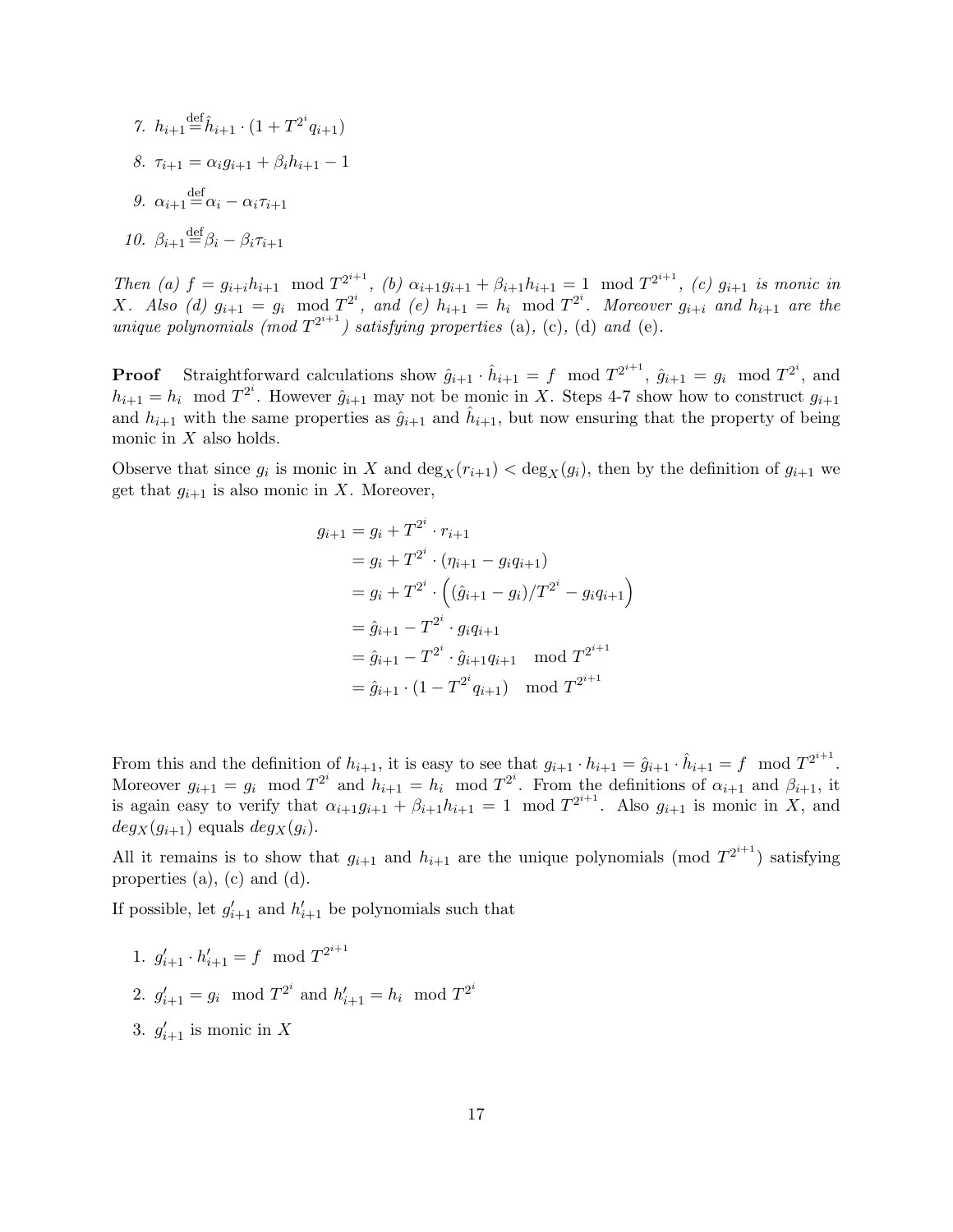7. 
$$
h_{i+1} \stackrel{\text{def}}{=} \hat{h}_{i+1} \cdot (1 + T^{2^i} q_{i+1})
$$
  
\n8.  $\tau_{i+1} = \alpha_i g_{i+1} + \beta_i h_{i+1} - 1$   
\n9.  $\alpha_{i+1} \stackrel{\text{def}}{=} \alpha_i - \alpha_i \tau_{i+1}$   
\n10.  $\beta_{i+1} \stackrel{\text{def}}{=} \beta_i - \beta_i \tau_{i+1}$ 

Then (a)  $f = g_{i+i}h_{i+1} \mod T^{2^{i+1}}$ , (b)  $\alpha_{i+1}g_{i+1} + \beta_{i+1}h_{i+1} = 1 \mod T^{2^{i+1}}$ , (c)  $g_{i+1}$  is monic in X. Also (d)  $g_{i+1} = g_i \mod T^{2^i}$ , and (e)  $h_{i+1} = h_i \mod T^{2^i}$ . Moreover  $g_{i+i}$  and  $h_{i+1}$  are the unique polynomials (mod  $T^{2^{i+1}}$ ) satisfying properties (a), (c), (d) and (e).

**Proof** Straightforward calculations show  $\hat{g}_{i+1} \cdot \hat{h}_{i+1} = f \mod T^{2^{i+1}}$ ,  $\hat{g}_{i+1} = g_i \mod T^{2^i}$ , and  $h_{i+1} = h_i \mod T^{2^i}$ . However  $\hat{g}_{i+1}$  may not be monic in X. Steps 4-7 show how to construct  $g_{i+1}$ and  $h_{i+1}$  with the same properties as  $\hat{g}_{i+1}$  and  $\hat{h}_{i+1}$ , but now ensuring that the property of being monic in  $X$  also holds.

Observe that since  $g_i$  is monic in X and  $\deg_X(r_{i+1}) < \deg_X(g_i)$ , then by the definition of  $g_{i+1}$  we get that  $g_{i+1}$  is also monic in X. Moreover,

$$
g_{i+1} = g_i + T^{2^i} \cdot r_{i+1}
$$
  
=  $g_i + T^{2^i} \cdot (\eta_{i+1} - g_i q_{i+1})$   
=  $g_i + T^{2^i} \cdot ((\hat{g}_{i+1} - g_i)/T^{2^i} - g_i q_{i+1})$   
=  $\hat{g}_{i+1} - T^{2^i} \cdot g_i q_{i+1}$   
=  $\hat{g}_{i+1} - T^{2^i} \cdot \hat{g}_{i+1} q_{i+1}$  mod  $T^{2^{i+1}}$   
=  $\hat{g}_{i+1} \cdot (1 - T^{2^i} q_{i+1})$  mod  $T^{2^{i+1}}$ 

From this and the definition of  $h_{i+1}$ , it is easy to see that  $g_{i+1} \cdot h_{i+1} = \hat{g}_{i+1} \cdot \hat{h}_{i+1} = f \mod T^{2^{i+1}}$ . Moreover  $g_{i+1} = g_i \mod T^{2^i}$  and  $h_{i+1} = h_i \mod T^{2^i}$ . From the definitions of  $\alpha_{i+1}$  and  $\beta_{i+1}$ , it is again easy to verify that  $\alpha_{i+1}g_{i+1} + \beta_{i+1}h_{i+1} = 1 \mod T^{2^{i+1}}$ . Also  $g_{i+1}$  is monic in X, and  $deg_X(g_{i+1})$  equals  $deg_X(g_i)$ .

All it remains is to show that  $g_{i+1}$  and  $h_{i+1}$  are the unique polynomials (mod  $T^{2^{i+1}}$ ) satisfying properties (a), (c) and (d).

If possible, let  $g'_{i+1}$  and  $h'_{i+1}$  be polynomials such that

- 1.  $g'_{i+1} \cdot h'_{i+1} = f \mod T^{2^{i+1}}$
- 2.  $g'_{i+1} = g_i \mod T^{2^i}$  and  $h'_{i+1} = h_i \mod T^{2^i}$
- 3.  $g'_{i+1}$  is monic in X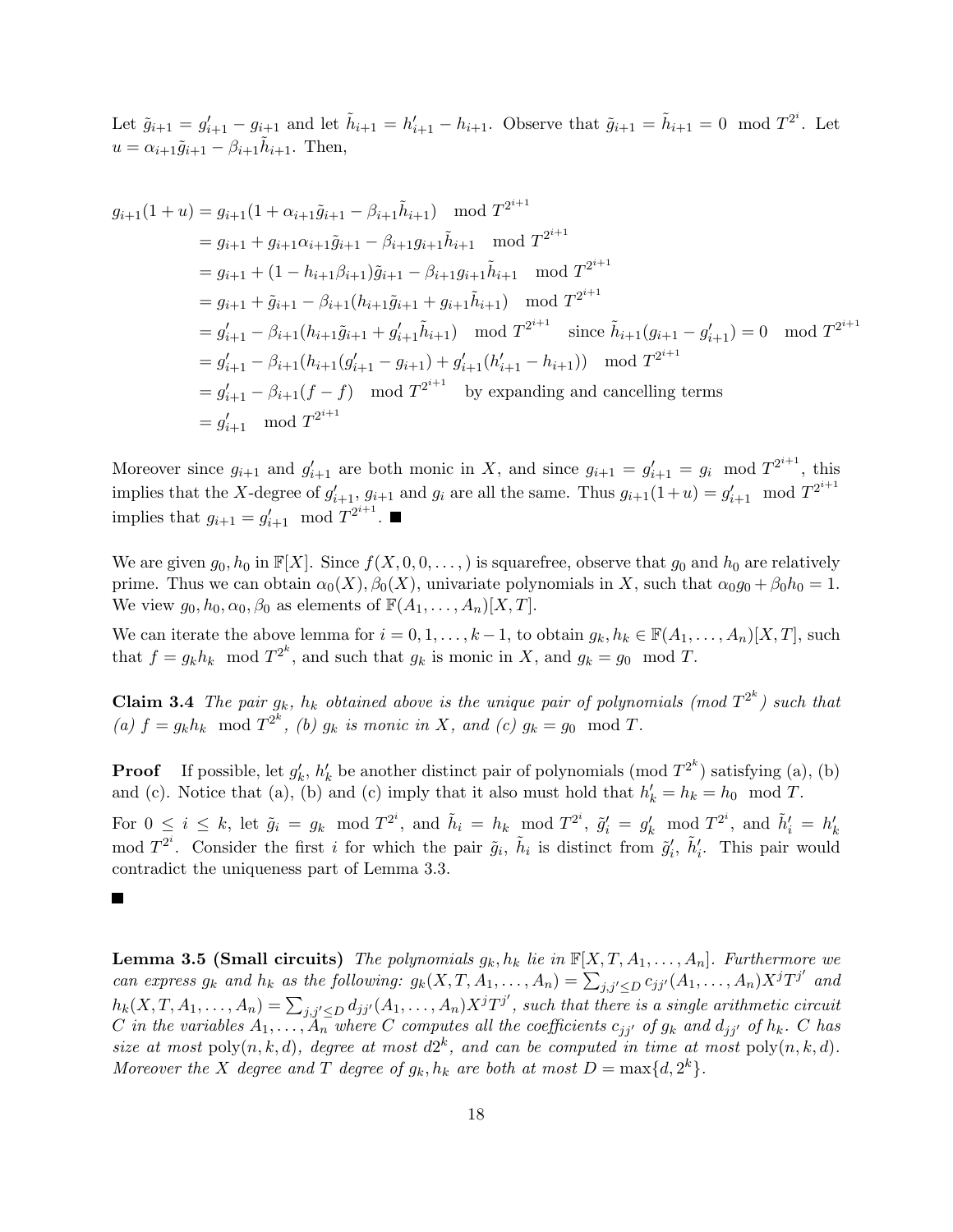Let  $\tilde{g}_{i+1} = g'_{i+1} - g_{i+1}$  and let  $\tilde{h}_{i+1} = h'_{i+1} - h_{i+1}$ . Observe that  $\tilde{g}_{i+1} = \tilde{h}_{i+1} = 0 \mod T^{2^i}$ . Let  $u = \alpha_{i+1}\tilde{g}_{i+1} - \beta_{i+1}\tilde{h}_{i+1}$ . Then,

$$
g_{i+1}(1+u) = g_{i+1}(1 + \alpha_{i+1}\tilde{g}_{i+1} - \beta_{i+1}\tilde{h}_{i+1}) \mod T^{2^{i+1}}
$$
  
\n
$$
= g_{i+1} + g_{i+1}\alpha_{i+1}\tilde{g}_{i+1} - \beta_{i+1}g_{i+1}\tilde{h}_{i+1} \mod T^{2^{i+1}}
$$
  
\n
$$
= g_{i+1} + (1 - h_{i+1}\beta_{i+1})\tilde{g}_{i+1} - \beta_{i+1}g_{i+1}\tilde{h}_{i+1} \mod T^{2^{i+1}}
$$
  
\n
$$
= g_{i+1} + \tilde{g}_{i+1} - \beta_{i+1}(h_{i+1}\tilde{g}_{i+1} + g_{i+1}\tilde{h}_{i+1}) \mod T^{2^{i+1}}
$$
  
\n
$$
= g'_{i+1} - \beta_{i+1}(h_{i+1}\tilde{g}_{i+1} + g'_{i+1}\tilde{h}_{i+1}) \mod T^{2^{i+1}}
$$
 since  $\tilde{h}_{i+1}(g_{i+1} - g'_{i+1}) = 0 \mod T^{2^{i+1}}$   
\n
$$
= g'_{i+1} - \beta_{i+1}(h_{i+1}(g'_{i+1} - g_{i+1}) + g'_{i+1}(h'_{i+1} - h_{i+1})) \mod T^{2^{i+1}}
$$
  
\n
$$
= g'_{i+1} - \beta_{i+1}(f - f) \mod T^{2^{i+1}}
$$
 by expanding and cancelling terms  
\n
$$
= g'_{i+1} \mod T^{2^{i+1}}
$$

Moreover since  $g_{i+1}$  and  $g'_{i+1}$  are both monic in X, and since  $g_{i+1} = g'_{i+1} = g_i \mod T^{2^{i+1}}$ , this implies that the X-degree of  $g'_{i+1}$ ,  $g_{i+1}$  and  $g_i$  are all the same. Thus  $g_{i+1}(1+u) = g'_{i+1} \mod T^{2^{i+1}}$ implies that  $g_{i+1} = g'_{i+1} \mod T^{2^{i+1}}$ .

We are given  $g_0, h_0$  in  $\mathbb{F}[X]$ . Since  $f(X, 0, 0, \ldots)$  is squarefree, observe that  $g_0$  and  $h_0$  are relatively prime. Thus we can obtain  $\alpha_0(X)$ ,  $\beta_0(X)$ , univariate polynomials in X, such that  $\alpha_0 g_0 + \beta_0 h_0 = 1$ . We view  $g_0, h_0, \alpha_0, \beta_0$  as elements of  $\mathbb{F}(A_1, \ldots, A_n)[X, T]$ .

We can iterate the above lemma for  $i = 0, 1, \ldots, k - 1$ , to obtain  $g_k, h_k \in \mathbb{F}(A_1, \ldots, A_n)[X, T]$ , such that  $f = g_k h_k \mod T^{2^k}$ , and such that  $g_k$  is monic in X, and  $g_k = g_0 \mod T$ .

**Claim 3.4** The pair  $g_k$ ,  $h_k$  obtained above is the unique pair of polynomials (mod  $T^{2^k}$ ) such that (a)  $f = g_k h_k \mod T^{2^k}$ , (b)  $g_k$  is monic in X, and (c)  $g_k = g_0 \mod T$ .

**Proof** If possible, let  $g'_k$ ,  $h'_k$  be another distinct pair of polynomials (mod  $T^{2^k}$ ) satisfying (a), (b) and (c). Notice that (a), (b) and (c) imply that it also must hold that  $h'_k = h_k = h_0 \mod T$ .

For  $0 \leq i \leq k$ , let  $\tilde{g}_i = g_k \mod T^{2^i}$ , and  $\tilde{h}_i = h_k \mod T^{2^i}$ ,  $\tilde{g}'_i = g'_k \mod T^{2^i}$ , and  $\tilde{h}'_i = h'_k$ mod  $T^{2^i}$ . Consider the first i for which the pair  $\tilde{g}_i$ ,  $\tilde{h}_i$  is distinct from  $\tilde{g}'_i$ ,  $\tilde{h}'_i$ . This pair would contradict the uniqueness part of Lemma 3.3.

Ш

**Lemma 3.5 (Small circuits)** The polynomials  $g_k, h_k$  lie in  $\mathbb{F}[X, T, A_1, \ldots, A_n]$ . Furthermore we can express  $g_k$  and  $h_k$  as the following:  $g_k(X, T, A_1, \ldots, A_n) = \sum_{j,j' \leq D} c_{jj'}(A_1, \ldots, A_n) X^j T^{j'}$  and  $h_k(X,T,A_1,\ldots,A_n)=\sum_{j,j'\leq D}d_{jj'}(A_1,\ldots,A_n)X^jT^{j'},$  such that there is a single arithmetic circuit C in the variables  $A_1, \ldots, A_n$  where C computes all the coefficients  $c_{ji'}$  of  $g_k$  and  $d_{ji'}$  of  $h_k$ . C has size at most poly $(n, k, d)$ , degree at most  $d2^k$ , and can be computed in time at most poly $(n, k, d)$ . Moreover the X degree and T degree of  $g_k, h_k$  are both at most  $D = \max\{d, 2^k\}.$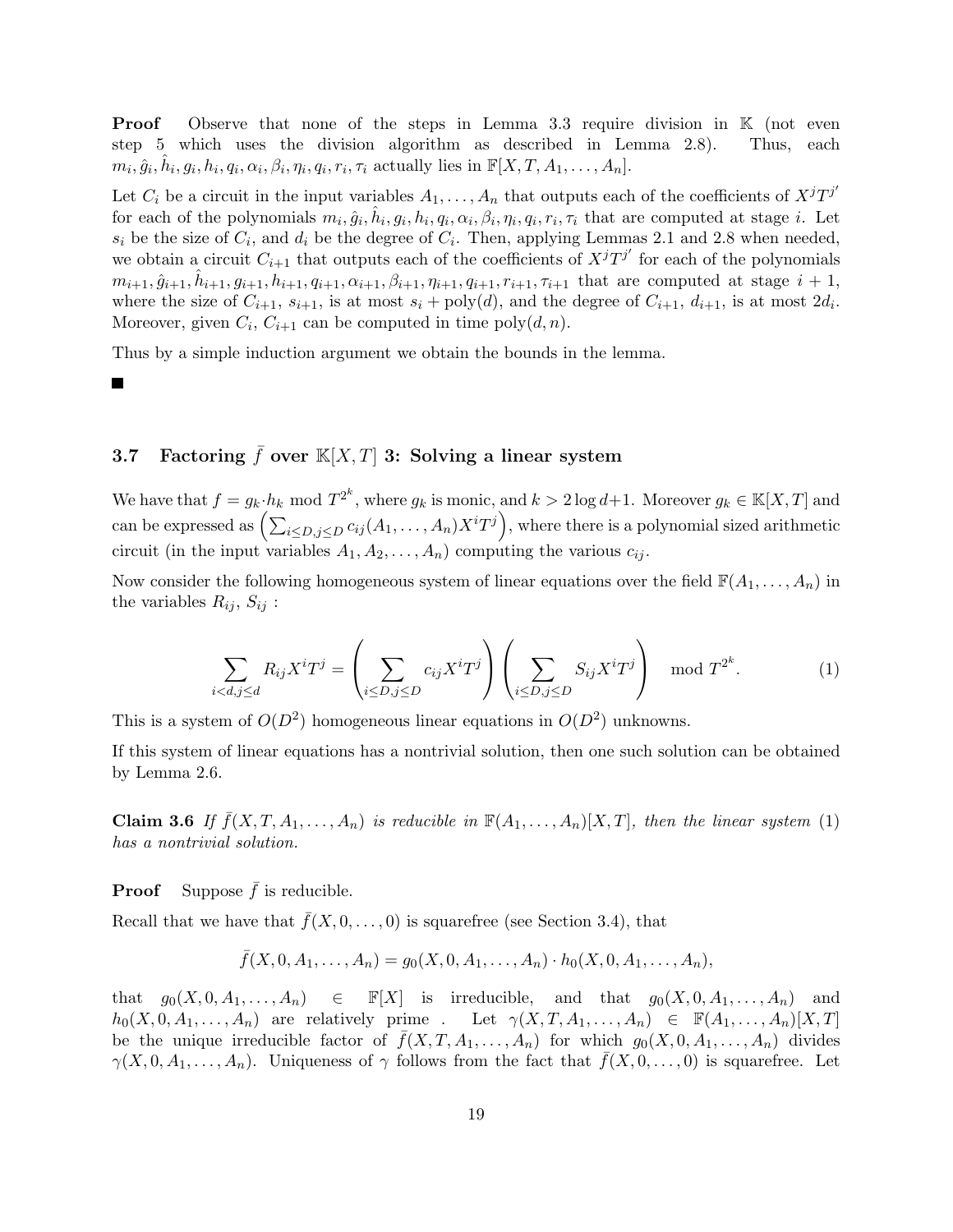**Proof** Observe that none of the steps in Lemma 3.3 require division in K (not even step 5 which uses the division algorithm as described in Lemma 2.8). Thus, each  $m_i, \hat{g}_i, \hat{h}_i, g_i, h_i, q_i, \alpha_i, \beta_i, \eta_i, q_i, r_i, \tau_i$  actually lies in  $\mathbb{F}[X, T, A_1, \dots, A_n].$ 

Let  $C_i$  be a circuit in the input variables  $A_1, \ldots, A_n$  that outputs each of the coefficients of  $X^jT^{j'}$ for each of the polynomials  $m_i, \hat{g}_i, \hat{h}_i, g_i, h_i, q_i, \alpha_i, \beta_i, \eta_i, q_i, r_i, \tau_i$  that are computed at stage *i*. Let  $s_i$  be the size of  $C_i$ , and  $d_i$  be the degree of  $C_i$ . Then, applying Lemmas 2.1 and 2.8 when needed, we obtain a circuit  $C_{i+1}$  that outputs each of the coefficients of  $X^{j}T^{j'}$  for each of the polynomials  $m_{i+1}, \hat{g}_{i+1}, \hat{h}_{i+1}, g_{i+1}, h_{i+1}, q_{i+1}, \alpha_{i+1}, \beta_{i+1}, \eta_{i+1}, q_{i+1}, r_{i+1}, \tau_{i+1}$  that are computed at stage  $i+1$ , where the size of  $C_{i+1}$ ,  $s_{i+1}$ , is at most  $s_i + \text{poly}(d)$ , and the degree of  $C_{i+1}$ ,  $d_{i+1}$ , is at most  $2d_i$ . Moreover, given  $C_i$ ,  $C_{i+1}$  can be computed in time  $\text{poly}(d, n)$ .

Thus by a simple induction argument we obtain the bounds in the lemma.

Ш

# 3.7 Factoring  $\bar{f}$  over  $\mathbb{K}[X,T]$  3: Solving a linear system

We have that  $f = g_k \cdot h_k \mod T^{2^k}$ , where  $g_k$  is monic, and  $k > 2 \log d + 1$ . Moreover  $g_k \in \mathbb{K}[X,T]$  and can be expressed as  $\left(\sum_{i\leq D,j\leq D}c_{ij}(A_1,\ldots,A_n)X^iT^j\right)$ , where there is a polynomial sized arithmetic circuit (in the input variables  $A_1, A_2, \ldots, A_n$ ) computing the various  $c_{ij}$ .

Now consider the following homogeneous system of linear equations over the field  $\mathbb{F}(A_1, \ldots, A_n)$  in the variables  $R_{ij}$ ,  $S_{ij}$ :

$$
\sum_{i < d, j \le d} R_{ij} X^i T^j = \left( \sum_{i \le D, j \le D} c_{ij} X^i T^j \right) \left( \sum_{i \le D, j \le D} S_{ij} X^i T^j \right) \mod T^{2^k}.
$$
\n<sup>(1)</sup>

This is a system of  $O(D^2)$  homogeneous linear equations in  $O(D^2)$  unknowns.

If this system of linear equations has a nontrivial solution, then one such solution can be obtained by Lemma 2.6.

**Claim 3.6** If  $\bar{f}(X, T, A_1, \ldots, A_n)$  is reducible in  $\mathbb{F}(A_1, \ldots, A_n)[X, T]$ , then the linear system (1) has a nontrivial solution.

**Proof** Suppose  $\bar{f}$  is reducible.

Recall that we have that  $\bar{f}(X, 0, \ldots, 0)$  is squarefree (see Section 3.4), that

$$
\bar{f}(X,0,A_1,\ldots,A_n)=g_0(X,0,A_1,\ldots,A_n)\cdot h_0(X,0,A_1,\ldots,A_n),
$$

that  $g_0(X, 0, A_1, \ldots, A_n) \in \mathbb{F}[X]$  is irreducible, and that  $g_0(X, 0, A_1, \ldots, A_n)$  and  $h_0(X, 0, A_1, \ldots, A_n)$  are relatively prime. Let  $\gamma(X, T, A_1, \ldots, A_n) \in \mathbb{F}(A_1, \ldots, A_n)[X, T]$ be the unique irreducible factor of  $\bar{f}(X, T, A_1, \ldots, A_n)$  for which  $g_0(X, 0, A_1, \ldots, A_n)$  divides  $\gamma(X, 0, A_1, \ldots, A_n)$ . Uniqueness of  $\gamma$  follows from the fact that  $\bar{f}(X, 0, \ldots, 0)$  is squarefree. Let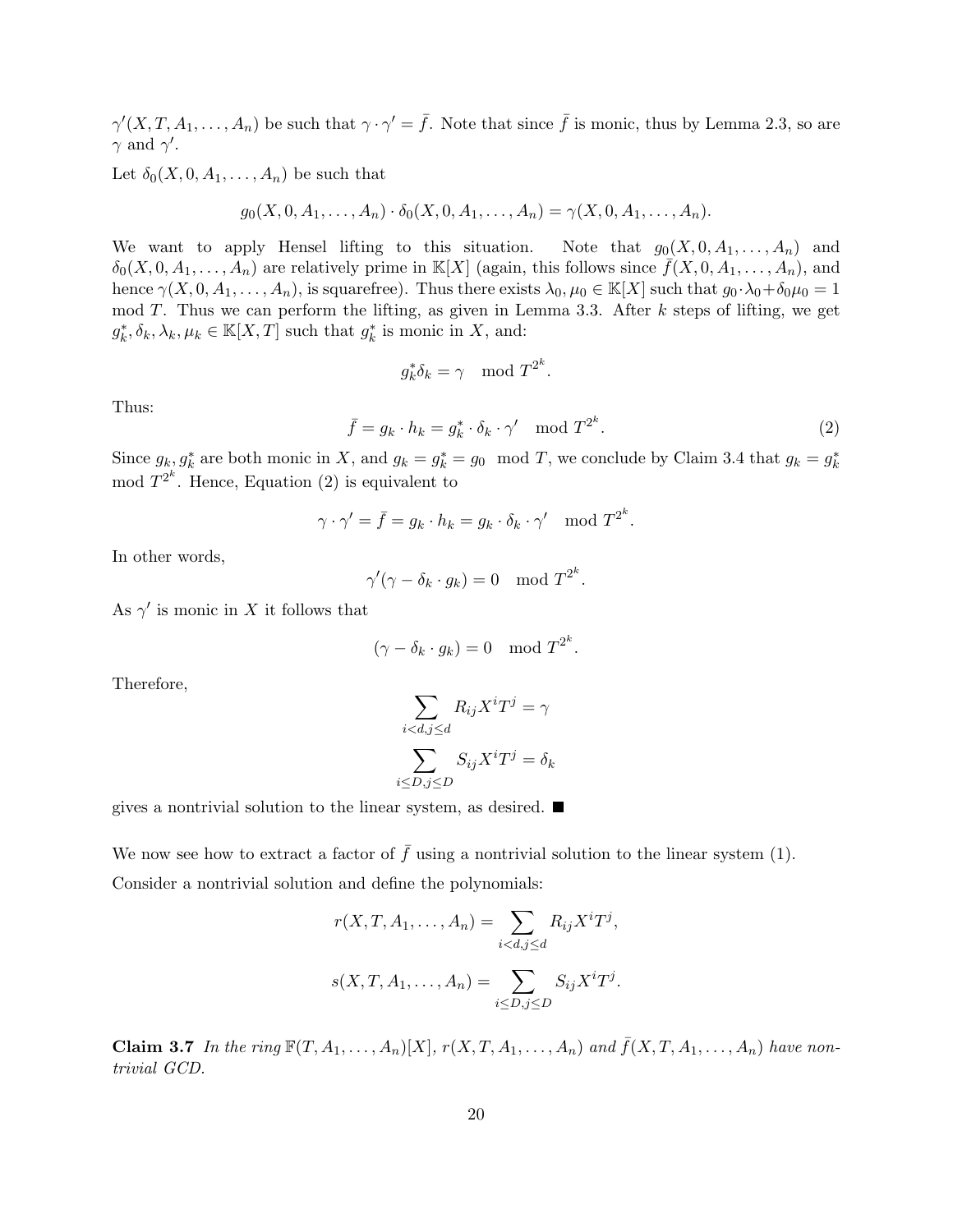$\gamma'(X,T,A_1,\ldots,A_n)$  be such that  $\gamma \cdot \gamma' = \bar{f}$ . Note that since  $\bar{f}$  is monic, thus by Lemma 2.3, so are  $\gamma$  and  $\gamma'$ .

Let  $\delta_0(X, 0, A_1, \ldots, A_n)$  be such that

$$
g_0(X, 0, A_1, \ldots, A_n) \cdot \delta_0(X, 0, A_1, \ldots, A_n) = \gamma(X, 0, A_1, \ldots, A_n).
$$

We want to apply Hensel lifting to this situation. Note that  $g_0(X, 0, A_1, \ldots, A_n)$  and  $\delta_0(X, 0, A_1, \ldots, A_n)$  are relatively prime in K[X] (again, this follows since  $\bar{f}(X, 0, A_1, \ldots, A_n)$ , and hence  $\gamma(X,0,A_1,\ldots,A_n)$ , is squarefree). Thus there exists  $\lambda_0,\mu_0 \in \mathbb{K}[X]$  such that  $g_0 \cdot \lambda_0 + \delta_0 \mu_0 = 1$ mod  $T$ . Thus we can perform the lifting, as given in Lemma 3.3. After  $k$  steps of lifting, we get  $g_k^*, \delta_k, \lambda_k, \mu_k \in \mathbb{K}[X,T]$  such that  $g_k^*$  is monic in X, and:

$$
g_k^* \delta_k = \gamma \mod T^{2^k}.
$$

Thus:

$$
\bar{f} = g_k \cdot h_k = g_k^* \cdot \delta_k \cdot \gamma' \mod T^{2^k}.
$$
\n(2)

Since  $g_k, g_k^*$  are both monic in X, and  $g_k = g_k^* = g_0 \mod T$ , we conclude by Claim 3.4 that  $g_k = g_k^*$ mod  $T^{2^k}$ . Hence, Equation (2) is equivalent to

$$
\gamma \cdot \gamma' = \bar{f} = g_k \cdot h_k = g_k \cdot \delta_k \cdot \gamma' \mod T^{2^k}.
$$

In other words,

$$
\gamma'(\gamma - \delta_k \cdot g_k) = 0 \mod T^{2^k}.
$$

As  $\gamma'$  is monic in X it follows that

$$
(\gamma - \delta_k \cdot g_k) = 0 \mod T^{2^k}.
$$

Therefore,

$$
\sum_{i < d, j \le d} R_{ij} X^i T^j = \gamma
$$
\n
$$
\sum_{i \le D, j \le D} S_{ij} X^i T^j = \delta_k
$$

gives a nontrivial solution to the linear system, as desired.  $\blacksquare$ 

We now see how to extract a factor of  $\bar{f}$  using a nontrivial solution to the linear system (1). Consider a nontrivial solution and define the polynomials:

$$
r(X, T, A_1, \dots, A_n) = \sum_{i < d, j \le d} R_{ij} X^i T^j,
$$
\n
$$
s(X, T, A_1, \dots, A_n) = \sum_{i \le D, j \le D} S_{ij} X^i T^j.
$$

Claim 3.7 In the ring  $\mathbb{F}(T, A_1, \ldots, A_n)[X]$ ,  $r(X, T, A_1, \ldots, A_n)$  and  $\bar{f}(X, T, A_1, \ldots, A_n)$  have nontrivial GCD.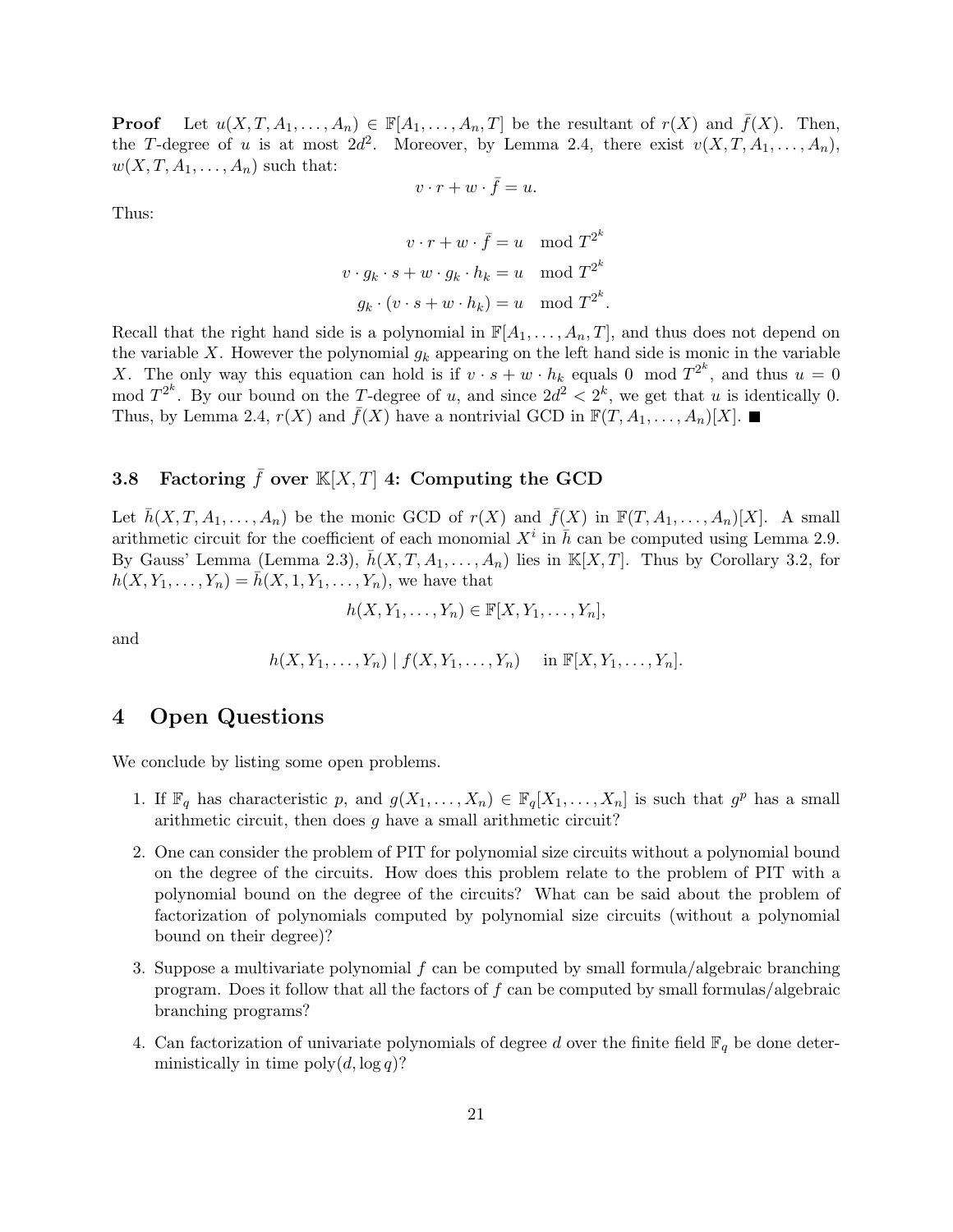**Proof** Let  $u(X, T, A_1, \ldots, A_n) \in \mathbb{F}[A_1, \ldots, A_n, T]$  be the resultant of  $r(X)$  and  $\bar{f}(X)$ . Then, the T-degree of u is at most  $2d^2$ . Moreover, by Lemma 2.4, there exist  $v(X, T, A_1, \ldots, A_n)$ ,  $w(X, T, A_1, \ldots, A_n)$  such that:

$$
v \cdot r + w \cdot \bar{f} = u.
$$

Thus:

$$
v \cdot r + w \cdot \bar{f} = u \mod T^{2^k}
$$
  

$$
v \cdot g_k \cdot s + w \cdot g_k \cdot h_k = u \mod T^{2^k}
$$
  

$$
g_k \cdot (v \cdot s + w \cdot h_k) = u \mod T^{2^k}.
$$

Recall that the right hand side is a polynomial in  $\mathbb{F}[A_1, \ldots, A_n, T]$ , and thus does not depend on the variable X. However the polynomial  $g_k$  appearing on the left hand side is monic in the variable X. The only way this equation can hold is if  $v \cdot s + w \cdot h_k$  equals 0 mod  $T^{2^k}$ , and thus  $u = 0$ mod  $T^{2^k}$ . By our bound on the T-degree of u, and since  $2d^2 < 2^k$ , we get that u is identically 0. Thus, by Lemma 2.4,  $r(X)$  and  $\bar{f}(X)$  have a nontrivial GCD in  $\mathbb{F}(T, A_1, \ldots, A_n)[X]$ .

# 3.8 Factoring  $\bar{f}$  over  $\mathbb{K}[X,T]$  4: Computing the GCD

Let  $\bar{h}(X, T, A_1, \ldots, A_n)$  be the monic GCD of  $r(X)$  and  $\bar{f}(X)$  in  $\mathbb{F}(T, A_1, \ldots, A_n)[X]$ . A small arithmetic circuit for the coefficient of each monomial  $X^i$  in  $\bar{h}$  can be computed using Lemma 2.9. By Gauss' Lemma (Lemma 2.3),  $\bar{h}(X, T, A_1, \ldots, A_n)$  lies in  $\mathbb{K}[X,T]$ . Thus by Corollary 3.2, for  $h(X, Y_1, \ldots, Y_n) = \bar{h}(X, 1, Y_1, \ldots, Y_n)$ , we have that

$$
h(X, Y_1, \ldots, Y_n) \in \mathbb{F}[X, Y_1, \ldots, Y_n],
$$

and

$$
h(X, Y_1, \ldots, Y_n) | f(X, Y_1, \ldots, Y_n) \quad \text{in } \mathbb{F}[X, Y_1, \ldots, Y_n].
$$

### 4 Open Questions

We conclude by listing some open problems.

- 1. If  $\mathbb{F}_q$  has characteristic p, and  $g(X_1, \ldots, X_n) \in \mathbb{F}_q[X_1, \ldots, X_n]$  is such that  $g^p$  has a small arithmetic circuit, then does g have a small arithmetic circuit?
- 2. One can consider the problem of PIT for polynomial size circuits without a polynomial bound on the degree of the circuits. How does this problem relate to the problem of PIT with a polynomial bound on the degree of the circuits? What can be said about the problem of factorization of polynomials computed by polynomial size circuits (without a polynomial bound on their degree)?
- 3. Suppose a multivariate polynomial f can be computed by small formula/algebraic branching program. Does it follow that all the factors of f can be computed by small formulas/algebraic branching programs?
- 4. Can factorization of univariate polynomials of degree d over the finite field  $\mathbb{F}_q$  be done deterministically in time  $\text{poly}(d, \log q)$ ?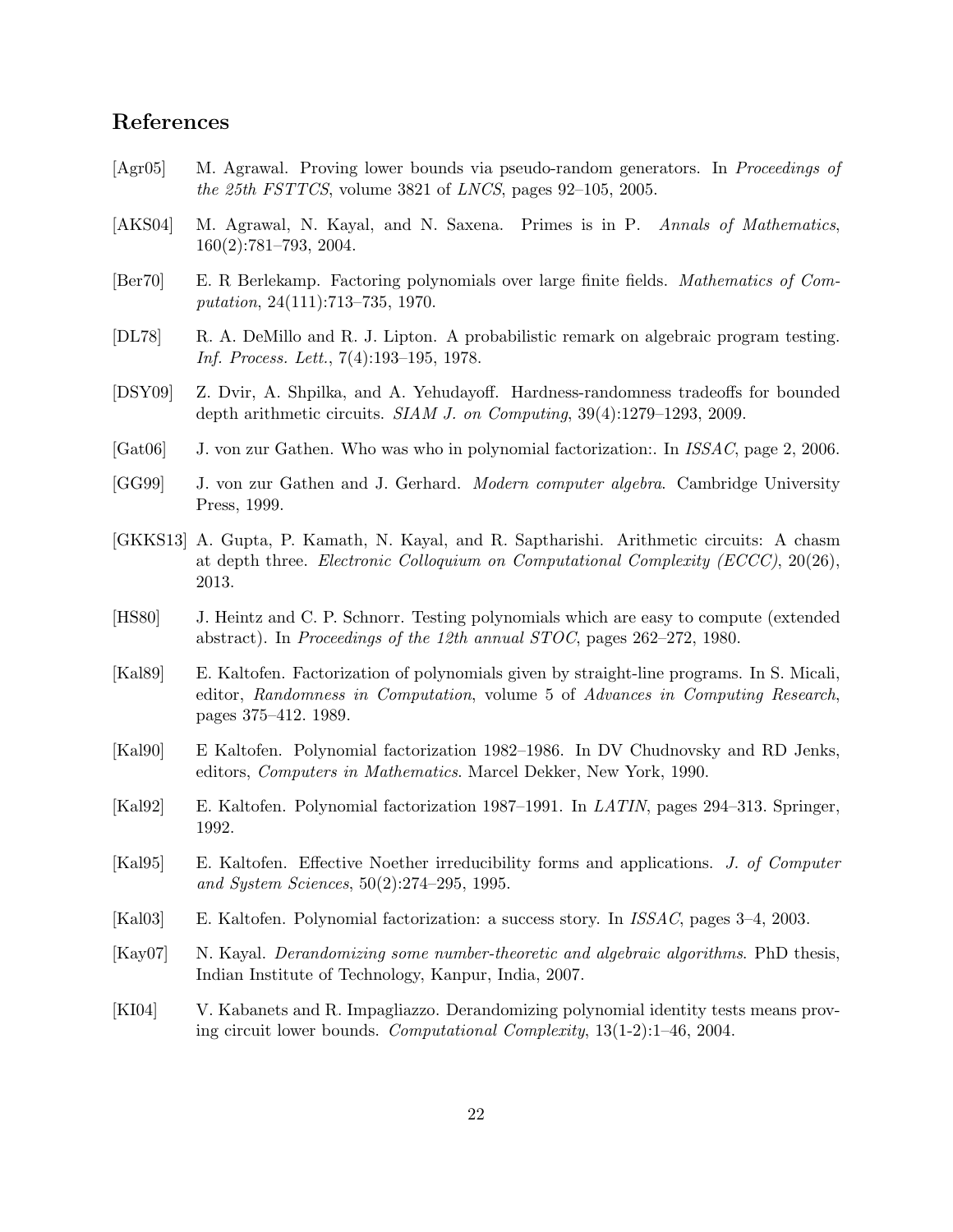# References

- [Agr05] M. Agrawal. Proving lower bounds via pseudo-random generators. In Proceedings of the 25th FSTTCS, volume 3821 of LNCS, pages 92–105, 2005.
- [AKS04] M. Agrawal, N. Kayal, and N. Saxena. Primes is in P. Annals of Mathematics, 160(2):781–793, 2004.
- [Ber70] E. R Berlekamp. Factoring polynomials over large finite fields. Mathematics of Computation, 24(111):713–735, 1970.
- [DL78] R. A. DeMillo and R. J. Lipton. A probabilistic remark on algebraic program testing. Inf. Process. Lett., 7(4):193–195, 1978.
- [DSY09] Z. Dvir, A. Shpilka, and A. Yehudayoff. Hardness-randomness tradeoffs for bounded depth arithmetic circuits.  $SIAM J.$  on Computing,  $39(4):1279-1293$ , 2009.
- [Gat06] J. von zur Gathen. Who was who in polynomial factorization:. In *ISSAC*, page 2, 2006.
- [GG99] J. von zur Gathen and J. Gerhard. Modern computer algebra. Cambridge University Press, 1999.
- [GKKS13] A. Gupta, P. Kamath, N. Kayal, and R. Saptharishi. Arithmetic circuits: A chasm at depth three. Electronic Colloquium on Computational Complexity (ECCC), 20(26), 2013.
- [HS80] J. Heintz and C. P. Schnorr. Testing polynomials which are easy to compute (extended abstract). In Proceedings of the 12th annual STOC, pages 262–272, 1980.
- [Kal89] E. Kaltofen. Factorization of polynomials given by straight-line programs. In S. Micali, editor, Randomness in Computation, volume 5 of Advances in Computing Research, pages 375–412. 1989.
- [Kal90] E Kaltofen. Polynomial factorization 1982–1986. In DV Chudnovsky and RD Jenks, editors, Computers in Mathematics. Marcel Dekker, New York, 1990.
- [Kal92] E. Kaltofen. Polynomial factorization 1987–1991. In LATIN, pages 294–313. Springer, 1992.
- [Kal95] E. Kaltofen. Effective Noether irreducibility forms and applications. J. of Computer and System Sciences, 50(2):274–295, 1995.
- [Kal03] E. Kaltofen. Polynomial factorization: a success story. In ISSAC, pages 3–4, 2003.
- [Kay07] N. Kayal. Derandomizing some number-theoretic and algebraic algorithms. PhD thesis, Indian Institute of Technology, Kanpur, India, 2007.
- [KI04] V. Kabanets and R. Impagliazzo. Derandomizing polynomial identity tests means proving circuit lower bounds. Computational Complexity, 13(1-2):1–46, 2004.